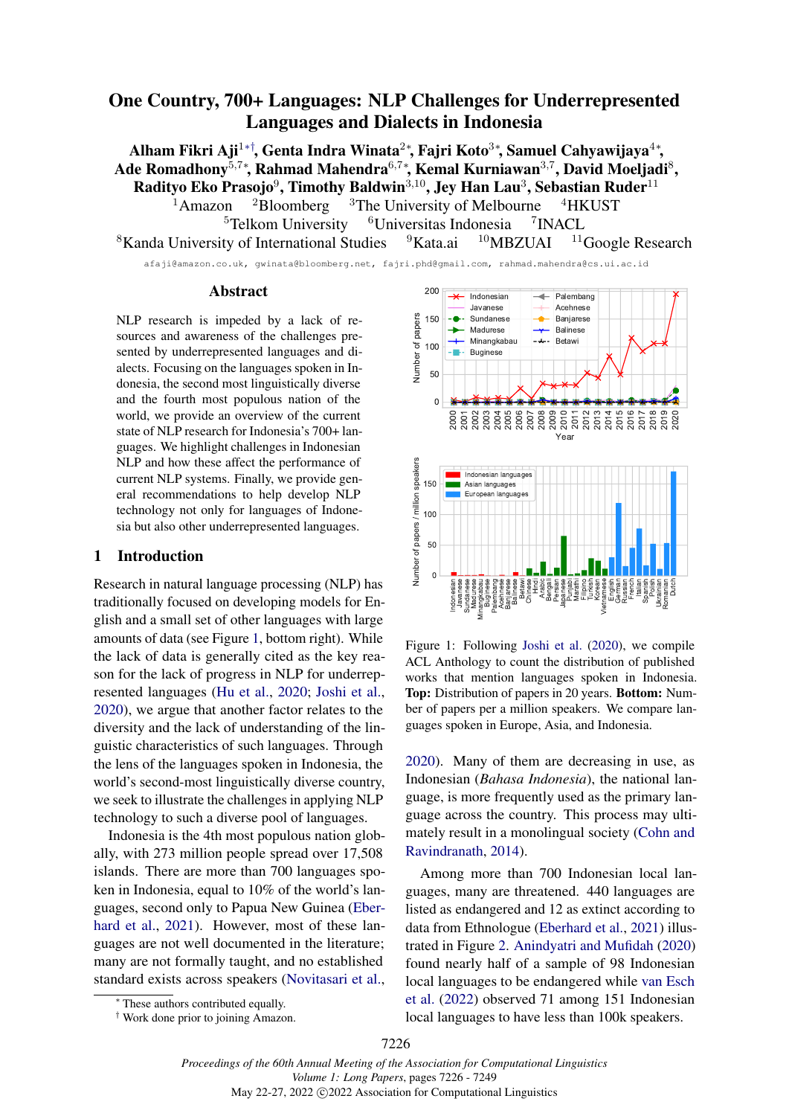# <span id="page-0-0"></span>One Country, 700+ Languages: NLP Challenges for Underrepresented Languages and Dialects in Indonesia

Alham Fikri Aji $^{1* \dagger}$ , Genta Indra Winata $^{2*}$ , Fajri Koto $^{3*}$ , Samuel Cahyawijaya $^{4*}$ , Ade Romadhony $^{5,7*}$ , Rahmad Mahendra $^{6,7*}$ , Kemal Kurniawan $^{3,7}$ , David Moeljadi $^8$ , Radityo Eko Prasojo $^9$ , Timothy Baldwin $^{3,10}$ , Jey Han Lau $^3$ , Sebastian Ruder $^{11}$  $1$ Amazon  $2B$ loomberg  $3$ The University of Melbourne  $4HKUST$  ${}^{5}$ Telkom University  ${}^{6}$ Universitas Indonesia <sup>7</sup>INACL  $8$ Kanda University of International Studies  $9$ Kata.ai  $10$ MBZUAI  $11$ Google Research

afaji@amazon.co.uk, gwinata@bloomberg.net, fajri.phd@gmail.com, rahmad.mahendra@cs.ui.ac.id

### Abstract

NLP research is impeded by a lack of resources and awareness of the challenges presented by underrepresented languages and dialects. Focusing on the languages spoken in Indonesia, the second most linguistically diverse and the fourth most populous nation of the world, we provide an overview of the current state of NLP research for Indonesia's 700+ languages. We highlight challenges in Indonesian NLP and how these affect the performance of current NLP systems. Finally, we provide general recommendations to help develop NLP technology not only for languages of Indonesia but also other underrepresented languages.

### 1 Introduction

Research in natural language processing (NLP) has traditionally focused on developing models for English and a small set of other languages with large amounts of data (see Figure [1,](#page-0-1) bottom right). While the lack of data is generally cited as the key reason for the lack of progress in NLP for underrepresented languages [\(Hu et al.,](#page-12-0) [2020;](#page-12-0) [Joshi et al.,](#page-12-1) [2020\)](#page-12-1), we argue that another factor relates to the diversity and the lack of understanding of the linguistic characteristics of such languages. Through the lens of the languages spoken in Indonesia, the world's second-most linguistically diverse country, we seek to illustrate the challenges in applying NLP technology to such a diverse pool of languages.

Indonesia is the 4th most populous nation globally, with 273 million people spread over 17,508 islands. There are more than 700 languages spoken in Indonesia, equal to 10% of the world's languages, second only to Papua New Guinea [\(Eber](#page-11-0)[hard et al.,](#page-11-0) [2021\)](#page-11-0). However, most of these languages are not well documented in the literature; many are not formally taught, and no established standard exists across speakers [\(Novitasari et al.,](#page-15-0)

<span id="page-0-1"></span>

Figure 1: Following [Joshi et al.](#page-12-1) [\(2020\)](#page-12-1), we compile ACL Anthology to count the distribution of published works that mention languages spoken in Indonesia. Top: Distribution of papers in 20 years. Bottom: Number of papers per a million speakers. We compare languages spoken in Europe, Asia, and Indonesia.

[2020\)](#page-15-0). Many of them are decreasing in use, as Indonesian (*Bahasa Indonesia*), the national language, is more frequently used as the primary language across the country. This process may ultimately result in a monolingual society [\(Cohn and](#page-10-0) [Ravindranath,](#page-10-0) [2014\)](#page-10-0).

Among more than 700 Indonesian local languages, many are threatened. 440 languages are listed as endangered and 12 as extinct according to data from Ethnologue [\(Eberhard et al.,](#page-11-0) [2021\)](#page-11-0) illustrated in Figure [2.](#page-1-0) [Anindyatri and Mufidah](#page-9-0) [\(2020\)](#page-9-0) found nearly half of a sample of 98 Indonesian local languages to be endangered while [van Esch](#page-17-0) [et al.](#page-17-0) [\(2022\)](#page-17-0) observed 71 among 151 Indonesian local languages to have less than 100k speakers.

<sup>∗</sup> These authors contributed equally.

<sup>†</sup> Work done prior to joining Amazon.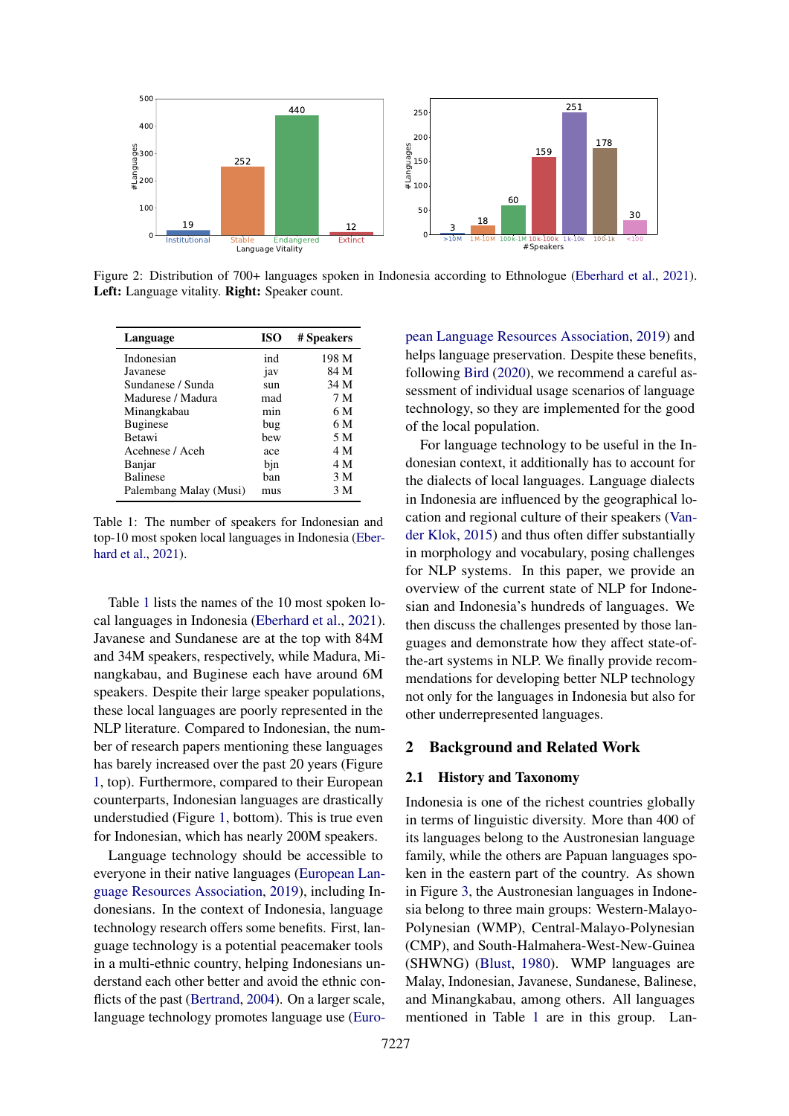<span id="page-1-0"></span>

Figure 2: Distribution of 700+ languages spoken in Indonesia according to Ethnologue [\(Eberhard et al.,](#page-11-0) [2021\)](#page-11-0). Left: Language vitality. **Right:** Speaker count.

<span id="page-1-1"></span>

| Language               | <b>ISO</b> | # Speakers |
|------------------------|------------|------------|
| Indonesian             | ind        | 198 M      |
| Javanese               | jav        | 84 M       |
| Sundanese / Sunda      | sun        | 34 M       |
| Madurese / Madura      | mad        | 7 M        |
| Minangkabau            | min        | 6 M        |
| <b>Buginese</b>        | bug        | 6 M        |
| <b>Betawi</b>          | bew        | 5 M        |
| Acehnese / Aceh        | ace        | 4 M        |
| Banjar                 | bjn        | 4 M        |
| <b>Balinese</b>        | ban        | 3 M        |
| Palembang Malay (Musi) | mus        | 3 M        |

Table 1: The number of speakers for Indonesian and top-10 most spoken local languages in Indonesia [\(Eber](#page-11-0)[hard et al.,](#page-11-0) [2021\)](#page-11-0).

Table [1](#page-1-1) lists the names of the 10 most spoken local languages in Indonesia [\(Eberhard et al.,](#page-11-0) [2021\)](#page-11-0). Javanese and Sundanese are at the top with 84M and 34M speakers, respectively, while Madura, Minangkabau, and Buginese each have around 6M speakers. Despite their large speaker populations, these local languages are poorly represented in the NLP literature. Compared to Indonesian, the number of research papers mentioning these languages has barely increased over the past 20 years (Figure [1,](#page-0-1) top). Furthermore, compared to their European counterparts, Indonesian languages are drastically understudied (Figure [1,](#page-0-1) bottom). This is true even for Indonesian, which has nearly 200M speakers.

Language technology should be accessible to everyone in their native languages [\(European Lan](#page-11-1)[guage Resources Association,](#page-11-1) [2019\)](#page-11-1), including Indonesians. In the context of Indonesia, language technology research offers some benefits. First, language technology is a potential peacemaker tools in a multi-ethnic country, helping Indonesians understand each other better and avoid the ethnic con-flicts of the past [\(Bertrand,](#page-10-1) [2004\)](#page-10-1). On a larger scale, language technology promotes language use [\(Euro-](#page-11-1) [pean Language Resources Association,](#page-11-1) [2019\)](#page-11-1) and helps language preservation. Despite these benefits, following [Bird](#page-10-2) [\(2020\)](#page-10-2), we recommend a careful assessment of individual usage scenarios of language technology, so they are implemented for the good of the local population.

For language technology to be useful in the Indonesian context, it additionally has to account for the dialects of local languages. Language dialects in Indonesia are influenced by the geographical location and regional culture of their speakers [\(Van](#page-17-1)[der Klok,](#page-17-1) [2015\)](#page-17-1) and thus often differ substantially in morphology and vocabulary, posing challenges for NLP systems. In this paper, we provide an overview of the current state of NLP for Indonesian and Indonesia's hundreds of languages. We then discuss the challenges presented by those languages and demonstrate how they affect state-ofthe-art systems in NLP. We finally provide recommendations for developing better NLP technology not only for the languages in Indonesia but also for other underrepresented languages.

## <span id="page-1-2"></span>2 Background and Related Work

## 2.1 History and Taxonomy

Indonesia is one of the richest countries globally in terms of linguistic diversity. More than 400 of its languages belong to the Austronesian language family, while the others are Papuan languages spoken in the eastern part of the country. As shown in Figure [3,](#page-2-0) the Austronesian languages in Indonesia belong to three main groups: Western-Malayo-Polynesian (WMP), Central-Malayo-Polynesian (CMP), and South-Halmahera-West-New-Guinea (SHWNG) [\(Blust,](#page-10-3) [1980\)](#page-10-3). WMP languages are Malay, Indonesian, Javanese, Sundanese, Balinese, and Minangkabau, among others. All languages mentioned in Table [1](#page-1-1) are in this group. Lan-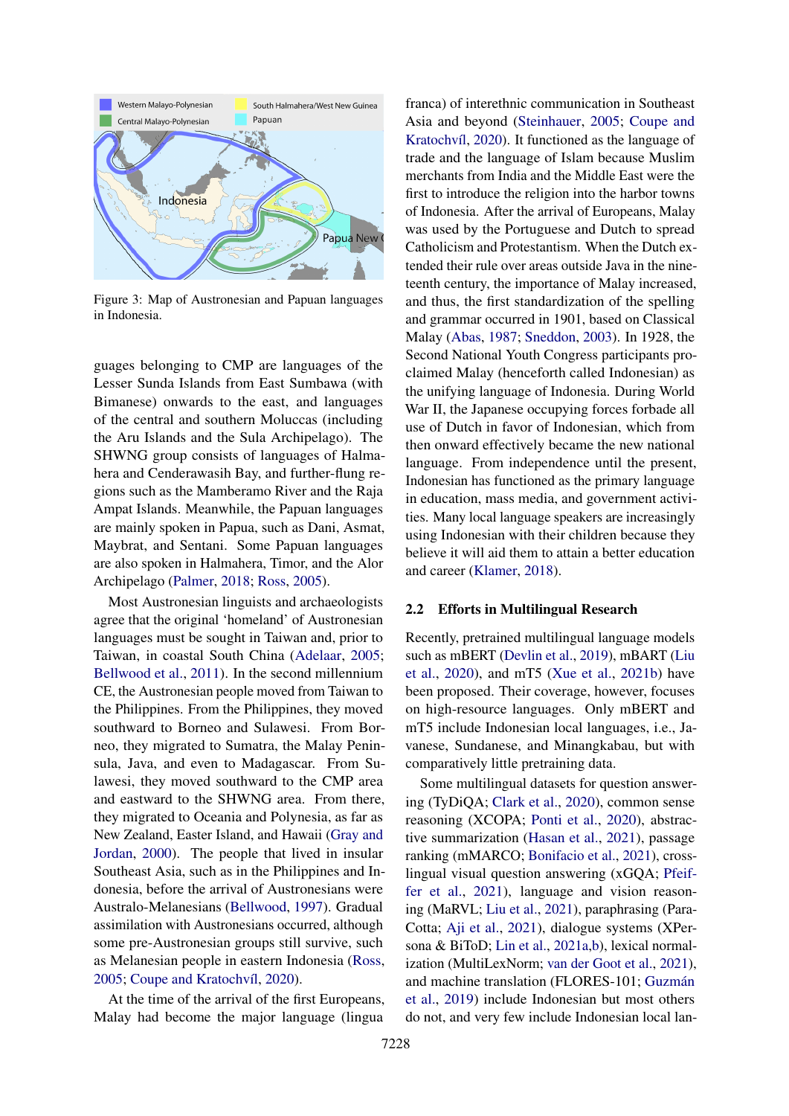<span id="page-2-0"></span>

Figure 3: Map of Austronesian and Papuan languages in Indonesia.

guages belonging to CMP are languages of the Lesser Sunda Islands from East Sumbawa (with Bimanese) onwards to the east, and languages of the central and southern Moluccas (including the Aru Islands and the Sula Archipelago). The SHWNG group consists of languages of Halmahera and Cenderawasih Bay, and further-flung regions such as the Mamberamo River and the Raja Ampat Islands. Meanwhile, the Papuan languages are mainly spoken in Papua, such as Dani, Asmat, Maybrat, and Sentani. Some Papuan languages are also spoken in Halmahera, Timor, and the Alor Archipelago [\(Palmer,](#page-15-1) [2018;](#page-15-1) [Ross,](#page-16-0) [2005\)](#page-16-0).

Most Austronesian linguists and archaeologists agree that the original 'homeland' of Austronesian languages must be sought in Taiwan and, prior to Taiwan, in coastal South China [\(Adelaar,](#page-9-1) [2005;](#page-9-1) [Bellwood et al.,](#page-10-4) [2011\)](#page-10-4). In the second millennium CE, the Austronesian people moved from Taiwan to the Philippines. From the Philippines, they moved southward to Borneo and Sulawesi. From Borneo, they migrated to Sumatra, the Malay Peninsula, Java, and even to Madagascar. From Sulawesi, they moved southward to the CMP area and eastward to the SHWNG area. From there, they migrated to Oceania and Polynesia, as far as New Zealand, Easter Island, and Hawaii [\(Gray and](#page-11-2) [Jordan,](#page-11-2) [2000\)](#page-11-2). The people that lived in insular Southeast Asia, such as in the Philippines and Indonesia, before the arrival of Austronesians were Australo-Melanesians [\(Bellwood,](#page-10-5) [1997\)](#page-10-5). Gradual assimilation with Austronesians occurred, although some pre-Austronesian groups still survive, such as Melanesian people in eastern Indonesia [\(Ross,](#page-16-0) [2005;](#page-16-0) [Coupe and Kratochvíl,](#page-11-3) [2020\)](#page-11-3).

At the time of the arrival of the first Europeans, Malay had become the major language (lingua

franca) of interethnic communication in Southeast Asia and beyond [\(Steinhauer,](#page-17-2) [2005;](#page-17-2) [Coupe and](#page-11-3) [Kratochvíl,](#page-11-3) [2020\)](#page-11-3). It functioned as the language of trade and the language of Islam because Muslim merchants from India and the Middle East were the first to introduce the religion into the harbor towns of Indonesia. After the arrival of Europeans, Malay was used by the Portuguese and Dutch to spread Catholicism and Protestantism. When the Dutch extended their rule over areas outside Java in the nineteenth century, the importance of Malay increased, and thus, the first standardization of the spelling and grammar occurred in 1901, based on Classical Malay [\(Abas,](#page-9-2) [1987;](#page-9-2) [Sneddon,](#page-17-3) [2003\)](#page-17-3). In 1928, the Second National Youth Congress participants proclaimed Malay (henceforth called Indonesian) as the unifying language of Indonesia. During World War II, the Japanese occupying forces forbade all use of Dutch in favor of Indonesian, which from then onward effectively became the new national language. From independence until the present, Indonesian has functioned as the primary language in education, mass media, and government activities. Many local language speakers are increasingly using Indonesian with their children because they believe it will aid them to attain a better education and career [\(Klamer,](#page-13-0) [2018\)](#page-13-0).

### 2.2 Efforts in Multilingual Research

Recently, pretrained multilingual language models such as mBERT [\(Devlin et al.,](#page-11-4) [2019\)](#page-11-4), mBART [\(Liu](#page-14-0) [et al.,](#page-14-0) [2020\)](#page-14-0), and mT5 [\(Xue et al.,](#page-19-0) [2021b\)](#page-19-0) have been proposed. Their coverage, however, focuses on high-resource languages. Only mBERT and mT5 include Indonesian local languages, i.e., Javanese, Sundanese, and Minangkabau, but with comparatively little pretraining data.

Some multilingual datasets for question answering (TyDiQA; [Clark et al.,](#page-10-6) [2020\)](#page-10-6), common sense reasoning (XCOPA; [Ponti et al.,](#page-16-1) [2020\)](#page-16-1), abstractive summarization [\(Hasan et al.,](#page-12-2) [2021\)](#page-12-2), passage ranking (mMARCO; [Bonifacio et al.,](#page-10-7) [2021\)](#page-10-7), crosslingual visual question answering (xGQA; [Pfeif](#page-15-2)[fer et al.,](#page-15-2) [2021\)](#page-15-2), language and vision reasoning (MaRVL; [Liu et al.,](#page-14-1) [2021\)](#page-14-1), paraphrasing (Para-Cotta; [Aji et al.,](#page-9-3) [2021\)](#page-9-3), dialogue systems (XPersona & BiToD; [Lin et al.,](#page-14-2) [2021a](#page-14-2)[,b\)](#page-14-3), lexical normalization (MultiLexNorm; [van der Goot et al.,](#page-17-4) [2021\)](#page-17-4), and machine translation (FLORES-101; [Guzmán](#page-12-3) [et al.,](#page-12-3) [2019\)](#page-12-3) include Indonesian but most others do not, and very few include Indonesian local lan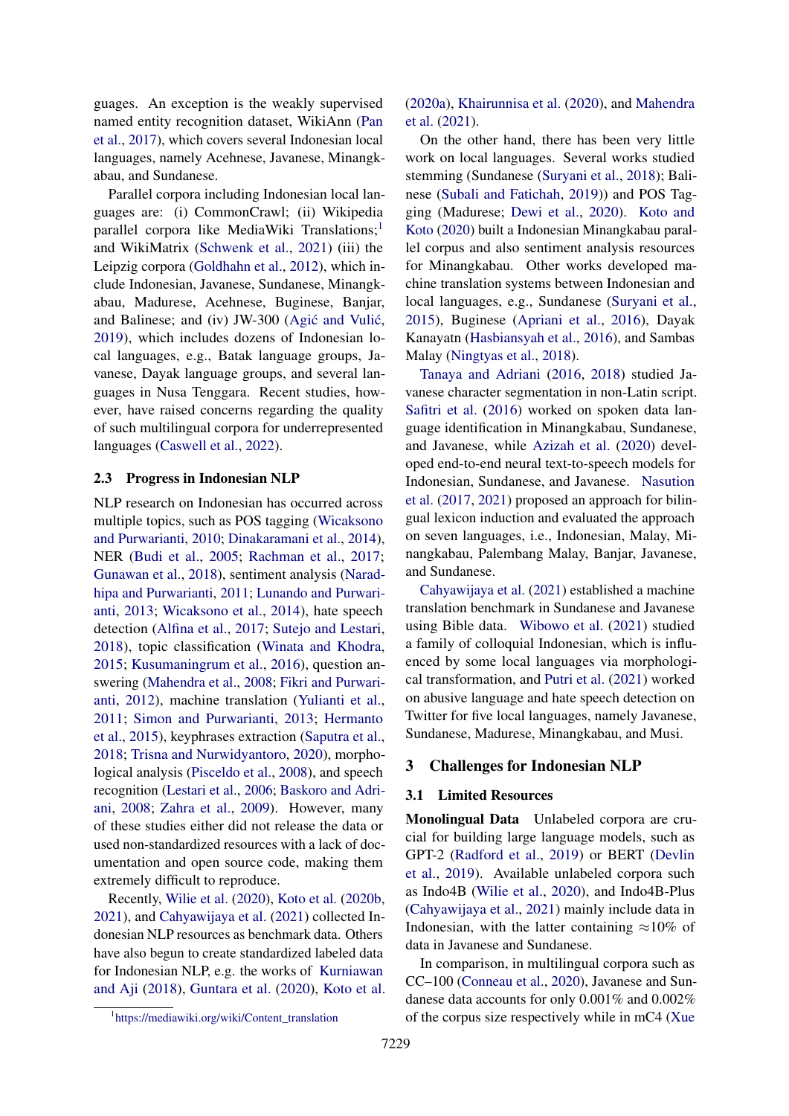guages. An exception is the weakly supervised named entity recognition dataset, WikiAnn [\(Pan](#page-15-3) [et al.,](#page-15-3) [2017\)](#page-15-3), which covers several Indonesian local languages, namely Acehnese, Javanese, Minangkabau, and Sundanese.

Parallel corpora including Indonesian local languages are: (i) CommonCrawl; (ii) Wikipedia parallel corpora like MediaWiki Translations;<sup>[1](#page-3-0)</sup> and WikiMatrix [\(Schwenk et al.,](#page-17-5) [2021\)](#page-17-5) (iii) the Leipzig corpora [\(Goldhahn et al.,](#page-11-5) [2012\)](#page-11-5), which include Indonesian, Javanese, Sundanese, Minangkabau, Madurese, Acehnese, Buginese, Banjar, and Balinese; and (iv) JW-300 (Agić and Vulić, [2019\)](#page-9-4), which includes dozens of Indonesian local languages, e.g., Batak language groups, Javanese, Dayak language groups, and several languages in Nusa Tenggara. Recent studies, however, have raised concerns regarding the quality of such multilingual corpora for underrepresented languages [\(Caswell et al.,](#page-10-8) [2022\)](#page-10-8).

#### 2.3 Progress in Indonesian NLP

NLP research on Indonesian has occurred across multiple topics, such as POS tagging [\(Wicaksono](#page-18-0) [and Purwarianti,](#page-18-0) [2010;](#page-18-0) [Dinakaramani et al.,](#page-11-6) [2014\)](#page-11-6), NER [\(Budi et al.,](#page-10-9) [2005;](#page-10-9) [Rachman et al.,](#page-16-2) [2017;](#page-16-2) [Gunawan et al.,](#page-11-7) [2018\)](#page-11-7), sentiment analysis [\(Narad](#page-15-4)[hipa and Purwarianti,](#page-15-4) [2011;](#page-15-4) [Lunando and Purwari](#page-14-4)[anti,](#page-14-4) [2013;](#page-14-4) [Wicaksono et al.,](#page-18-1) [2014\)](#page-18-1), hate speech detection [\(Alfina et al.,](#page-9-5) [2017;](#page-9-5) [Sutejo and Lestari,](#page-17-6) [2018\)](#page-17-6), topic classification [\(Winata and Khodra,](#page-18-2) [2015;](#page-18-2) [Kusumaningrum et al.,](#page-13-1) [2016\)](#page-13-1), question answering [\(Mahendra et al.,](#page-14-5) [2008;](#page-14-5) [Fikri and Purwari](#page-11-8)[anti,](#page-11-8) [2012\)](#page-11-8), machine translation [\(Yulianti et al.,](#page-19-1) [2011;](#page-19-1) [Simon and Purwarianti,](#page-17-7) [2013;](#page-17-7) [Hermanto](#page-12-4) [et al.,](#page-12-4) [2015\)](#page-12-4), keyphrases extraction [\(Saputra et al.,](#page-16-3) [2018;](#page-16-3) [Trisna and Nurwidyantoro,](#page-17-8) [2020\)](#page-17-8), morphological analysis [\(Pisceldo et al.,](#page-16-4) [2008\)](#page-16-4), and speech recognition [\(Lestari et al.,](#page-14-6) [2006;](#page-14-6) [Baskoro and Adri](#page-10-10)[ani,](#page-10-10) [2008;](#page-10-10) [Zahra et al.,](#page-19-2) [2009\)](#page-19-2). However, many of these studies either did not release the data or used non-standardized resources with a lack of documentation and open source code, making them extremely difficult to reproduce.

Recently, [Wilie et al.](#page-18-3) [\(2020\)](#page-18-3), [Koto et al.](#page-13-2) [\(2020b,](#page-13-2) [2021\)](#page-13-3), and [Cahyawijaya et al.](#page-10-11) [\(2021\)](#page-10-11) collected Indonesian NLP resources as benchmark data. Others have also begun to create standardized labeled data for Indonesian NLP, e.g. the works of [Kurniawan](#page-13-4) [and Aji](#page-13-4) [\(2018\)](#page-13-4), [Guntara et al.](#page-12-5) [\(2020\)](#page-12-5), [Koto et al.](#page-13-5)

<span id="page-3-0"></span>1 [https://mediawiki.org/wiki/Content\\_translation](https://mediawiki.org/wiki/Content_translation)

[\(2020a\)](#page-13-5), [Khairunnisa et al.](#page-13-6) [\(2020\)](#page-13-6), and [Mahendra](#page-14-7) [et al.](#page-14-7) [\(2021\)](#page-14-7).

On the other hand, there has been very little work on local languages. Several works studied stemming (Sundanese [\(Suryani et al.,](#page-17-9) [2018\)](#page-17-9); Balinese [\(Subali and Fatichah,](#page-17-10) [2019\)](#page-17-10)) and POS Tagging (Madurese; [Dewi et al.,](#page-11-9) [2020\)](#page-11-9). [Koto and](#page-13-7) [Koto](#page-13-7) [\(2020\)](#page-13-7) built a Indonesian Minangkabau parallel corpus and also sentiment analysis resources for Minangkabau. Other works developed machine translation systems between Indonesian and local languages, e.g., Sundanese [\(Suryani et al.,](#page-17-11) [2015\)](#page-17-11), Buginese [\(Apriani et al.,](#page-9-6) [2016\)](#page-9-6), Dayak Kanayatn [\(Hasbiansyah et al.,](#page-12-6) [2016\)](#page-12-6), and Sambas Malay [\(Ningtyas et al.,](#page-15-5) [2018\)](#page-15-5).

[Tanaya and Adriani](#page-17-12) [\(2016,](#page-17-12) [2018\)](#page-17-13) studied Javanese character segmentation in non-Latin script. [Safitri et al.](#page-16-5) [\(2016\)](#page-16-5) worked on spoken data language identification in Minangkabau, Sundanese, and Javanese, while [Azizah et al.](#page-9-7) [\(2020\)](#page-9-7) developed end-to-end neural text-to-speech models for Indonesian, Sundanese, and Javanese. [Nasution](#page-15-6) [et al.](#page-15-6) [\(2017,](#page-15-6) [2021\)](#page-15-7) proposed an approach for bilingual lexicon induction and evaluated the approach on seven languages, i.e., Indonesian, Malay, Minangkabau, Palembang Malay, Banjar, Javanese, and Sundanese.

[Cahyawijaya et al.](#page-10-11) [\(2021\)](#page-10-11) established a machine translation benchmark in Sundanese and Javanese using Bible data. [Wibowo et al.](#page-18-4) [\(2021\)](#page-18-4) studied a family of colloquial Indonesian, which is influenced by some local languages via morphological transformation, and [Putri et al.](#page-16-6) [\(2021\)](#page-16-6) worked on abusive language and hate speech detection on Twitter for five local languages, namely Javanese, Sundanese, Madurese, Minangkabau, and Musi.

### 3 Challenges for Indonesian NLP

### <span id="page-3-1"></span>3.1 Limited Resources

Monolingual Data Unlabeled corpora are crucial for building large language models, such as GPT-2 [\(Radford et al.,](#page-16-7) [2019\)](#page-16-7) or BERT [\(Devlin](#page-11-4) [et al.,](#page-11-4) [2019\)](#page-11-4). Available unlabeled corpora such as Indo4B [\(Wilie et al.,](#page-18-3) [2020\)](#page-18-3), and Indo4B-Plus [\(Cahyawijaya et al.,](#page-10-11) [2021\)](#page-10-11) mainly include data in Indonesian, with the latter containing  $\approx 10\%$  of data in Javanese and Sundanese.

In comparison, in multilingual corpora such as CC–100 [\(Conneau et al.,](#page-11-10) [2020\)](#page-11-10), Javanese and Sundanese data accounts for only 0.001% and 0.002% of the corpus size respectively while in mC4 [\(Xue](#page-19-0)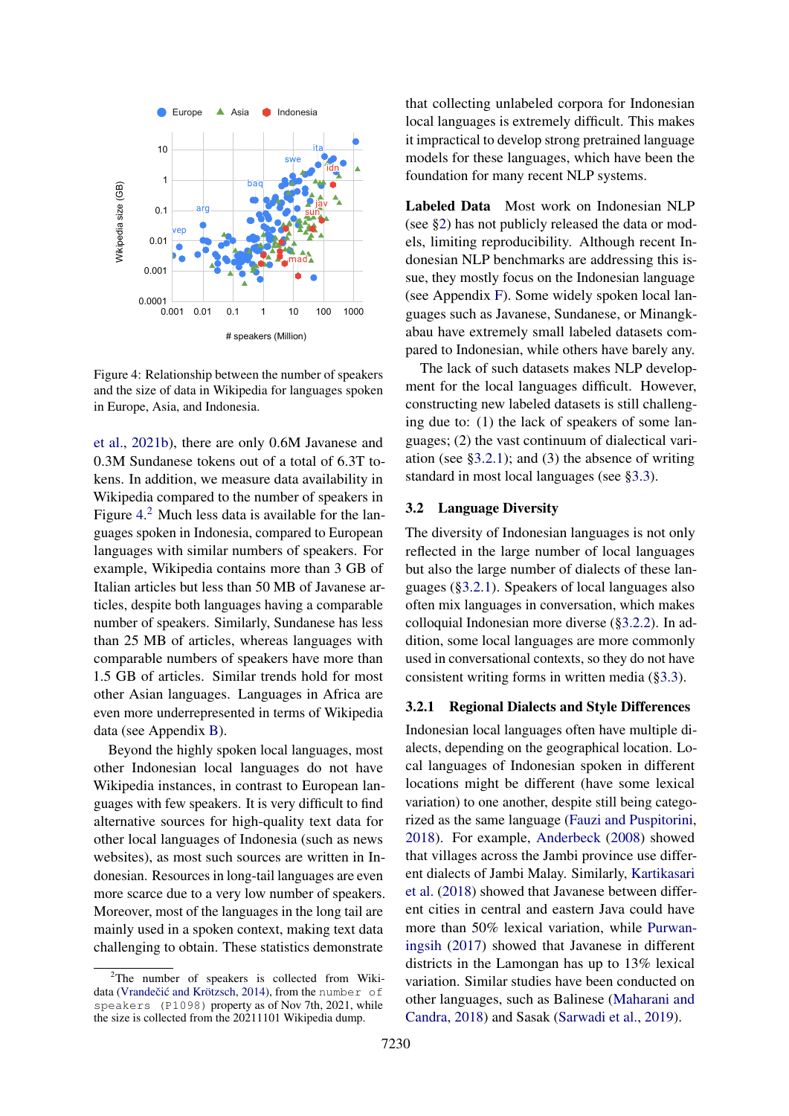<span id="page-4-0"></span>

Figure 4: Relationship between the number of speakers and the size of data in Wikipedia for languages spoken in Europe, Asia, and Indonesia.

[et al.,](#page-19-0) [2021b\)](#page-19-0), there are only 0.6M Javanese and 0.3M Sundanese tokens out of a total of 6.3T tokens. In addition, we measure data availability in Wikipedia compared to the number of speakers in Figure [4.](#page-4-0)<sup>[2](#page-4-1)</sup> Much less data is available for the languages spoken in Indonesia, compared to European languages with similar numbers of speakers. For example, Wikipedia contains more than 3 GB of Italian articles but less than 50 MB of Javanese articles, despite both languages having a comparable number of speakers. Similarly, Sundanese has less than 25 MB of articles, whereas languages with comparable numbers of speakers have more than 1.5 GB of articles. Similar trends hold for most other Asian languages. Languages in Africa are even more underrepresented in terms of Wikipedia data (see Appendix [B\)](#page-20-0).

Beyond the highly spoken local languages, most other Indonesian local languages do not have Wikipedia instances, in contrast to European languages with few speakers. It is very difficult to find alternative sources for high-quality text data for other local languages of Indonesia (such as news websites), as most such sources are written in Indonesian. Resources in long-tail languages are even more scarce due to a very low number of speakers. Moreover, most of the languages in the long tail are mainly used in a spoken context, making text data challenging to obtain. These statistics demonstrate

that collecting unlabeled corpora for Indonesian local languages is extremely difficult. This makes it impractical to develop strong pretrained language models for these languages, which have been the foundation for many recent NLP systems.

Labeled Data Most work on Indonesian NLP (see [§2\)](#page-1-2) has not publicly released the data or models, limiting reproducibility. Although recent Indonesian NLP benchmarks are addressing this issue, they mostly focus on the Indonesian language (see Appendix [F\)](#page-21-0). Some widely spoken local languages such as Javanese, Sundanese, or Minangkabau have extremely small labeled datasets compared to Indonesian, while others have barely any.

The lack of such datasets makes NLP development for the local languages difficult. However, constructing new labeled datasets is still challenging due to: (1) the lack of speakers of some languages; (2) the vast continuum of dialectical variation (see  $\S 3.2.1$ ); and (3) the absence of writing standard in most local languages (see [§3.3\)](#page-6-0).

### 3.2 Language Diversity

The diversity of Indonesian languages is not only reflected in the large number of local languages but also the large number of dialects of these languages ([§3.2.1\)](#page-4-2). Speakers of local languages also often mix languages in conversation, which makes colloquial Indonesian more diverse ([§3.2.2\)](#page-6-1). In addition, some local languages are more commonly used in conversational contexts, so they do not have consistent writing forms in written media ([§3.3\)](#page-6-0).

# <span id="page-4-2"></span>3.2.1 Regional Dialects and Style Differences

Indonesian local languages often have multiple dialects, depending on the geographical location. Local languages of Indonesian spoken in different locations might be different (have some lexical variation) to one another, despite still being categorized as the same language [\(Fauzi and Puspitorini,](#page-11-11) [2018\)](#page-11-11). For example, [Anderbeck](#page-9-8) [\(2008\)](#page-9-8) showed that villages across the Jambi province use different dialects of Jambi Malay. Similarly, [Kartikasari](#page-13-8) [et al.](#page-13-8) [\(2018\)](#page-13-8) showed that Javanese between different cities in central and eastern Java could have more than 50% lexical variation, while [Purwan](#page-16-8)[ingsih](#page-16-8) [\(2017\)](#page-16-8) showed that Javanese in different districts in the Lamongan has up to 13% lexical variation. Similar studies have been conducted on other languages, such as Balinese [\(Maharani and](#page-14-8) [Candra,](#page-14-8) [2018\)](#page-14-8) and Sasak [\(Sarwadi et al.,](#page-16-9) [2019\)](#page-16-9).

<span id="page-4-1"></span><sup>&</sup>lt;sup>2</sup>The number of speakers is collected from Wiki-data (Vrandečić and Krötzsch, [2014\)](#page-18-5), from the number of speakers (P1098) property as of Nov 7th, 2021, while the size is collected from the 20211101 Wikipedia dump.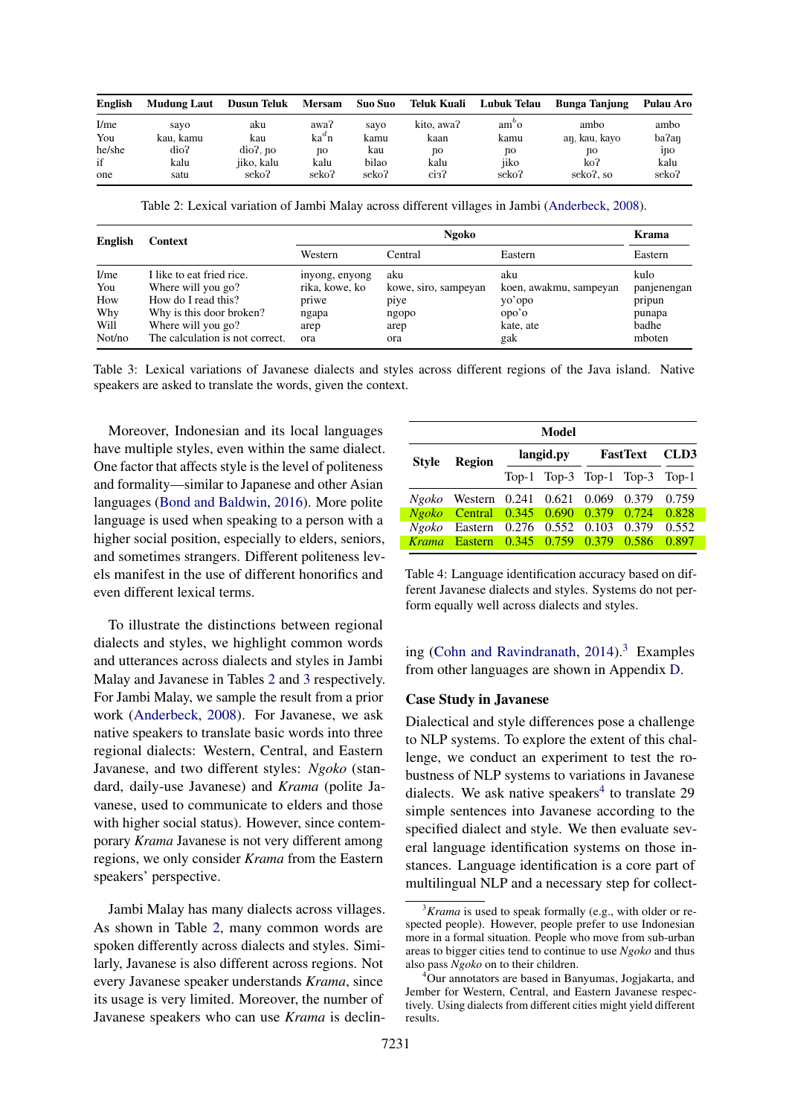<span id="page-5-0"></span>

| English | <b>Mudung Laut</b> | <b>Dusun Teluk</b> | <b>Mersam</b> | Suo Suo | Teluk Kuali | Lubuk Telau   | <b>Bunga Tanjung</b> | Pulau Aro         |
|---------|--------------------|--------------------|---------------|---------|-------------|---------------|----------------------|-------------------|
| I/me    | savo               | aku                | awa?          | sayo    | kito, awa?  | $am^{\circ}o$ | ambo                 | ambo              |
| You     | kau. kamu          | kau                | $ka^dn$       | kamu    | kaan        | kamu          | aŋ, kau, kavo        | ba?an             |
| he/she  | dio?               | $dio$ ?. no        | no            | kau     | no          | no            | nо                   | 1 <sub>1</sub> 10 |
| if      | kalu               | iiko, kalu         | kalu          | bilao   | kalu        | iiko          | ko?                  | kalu              |
| one     | satu               | seko?              | seko?         | seko?   | сіз?        | seko?         | seko?, so            | seko?             |

Table 2: Lexical variation of Jambi Malay across different villages in Jambi [\(Anderbeck,](#page-9-8) [2008\)](#page-9-8).

| <b>English</b> | Context                         |                | Krama                |                        |             |
|----------------|---------------------------------|----------------|----------------------|------------------------|-------------|
|                |                                 | Western        | Central              | Eastern                | Eastern     |
| I/me           | I like to eat fried rice.       | inyong, enyong | aku                  | aku                    | kulo        |
| You            | Where will you go?              | rika, kowe, ko | kowe, siro, sampeyan | koen, awakmu, sampeyan | panjenengan |
| How            | How do I read this?             | priwe          | piye                 | yo'opo                 | pripun      |
| Why            | Why is this door broken?        | ngapa          | ngopo                | opo'o                  | punapa      |
| Will           | Where will you go?              | arep           | arep                 | kate, ate              | badhe       |
| Not/no         | The calculation is not correct. | ora            | ora                  | gak                    | mboten      |

Table 3: Lexical variations of Javanese dialects and styles across different regions of the Java island. Native speakers are asked to translate the words, given the context.

Moreover, Indonesian and its local languages have multiple styles, even within the same dialect. One factor that affects style is the level of politeness and formality—similar to Japanese and other Asian languages [\(Bond and Baldwin,](#page-10-12) [2016\)](#page-10-12). More polite language is used when speaking to a person with a higher social position, especially to elders, seniors, and sometimes strangers. Different politeness levels manifest in the use of different honorifics and even different lexical terms.

To illustrate the distinctions between regional dialects and styles, we highlight common words and utterances across dialects and styles in Jambi Malay and Javanese in Tables [2](#page-5-0) and [3](#page-5-0) respectively. For Jambi Malay, we sample the result from a prior work [\(Anderbeck,](#page-9-8) [2008\)](#page-9-8). For Javanese, we ask native speakers to translate basic words into three regional dialects: Western, Central, and Eastern Javanese, and two different styles: *Ngoko* (standard, daily-use Javanese) and *Krama* (polite Javanese, used to communicate to elders and those with higher social status). However, since contemporary *Krama* Javanese is not very different among regions, we only consider *Krama* from the Eastern speakers' perspective.

Jambi Malay has many dialects across villages. As shown in Table [2,](#page-5-0) many common words are spoken differently across dialects and styles. Similarly, Javanese is also different across regions. Not every Javanese speaker understands *Krama*, since its usage is very limited. Moreover, the number of Javanese speakers who can use *Krama* is declin-

<span id="page-5-3"></span>

| Model        |                                              |           |  |                 |                               |       |  |
|--------------|----------------------------------------------|-----------|--|-----------------|-------------------------------|-------|--|
| <b>Style</b> | <b>Region</b>                                | langid.py |  | <b>FastText</b> | CLD <sub>3</sub>              |       |  |
|              |                                              |           |  |                 | Top-1 Top-3 Top-1 Top-3 Top-1 |       |  |
|              | Ngoko Western 0.241 0.621 0.069 0.379        |           |  |                 |                               | 0.759 |  |
|              | Ngoko Central 0.345 0.690 0.379 0.724 0.828  |           |  |                 |                               |       |  |
|              | Ngoko Eastern 0.276 0.552 0.103              |           |  |                 | 0.379                         | 0.552 |  |
|              | <i>Krama</i> Eastern 0.345 0.759 0.379 0.586 |           |  |                 |                               | 0.897 |  |

Table 4: Language identification accuracy based on different Javanese dialects and styles. Systems do not perform equally well across dialects and styles.

ing [\(Cohn and Ravindranath,](#page-10-0)  $2014$ ).<sup>[3](#page-5-1)</sup> Examples from other languages are shown in Appendix [D.](#page-20-1)

### Case Study in Javanese

Dialectical and style differences pose a challenge to NLP systems. To explore the extent of this challenge, we conduct an experiment to test the robustness of NLP systems to variations in Javanese dialects. We ask native speakers<sup>[4](#page-5-2)</sup> to translate 29 simple sentences into Javanese according to the specified dialect and style. We then evaluate several language identification systems on those instances. Language identification is a core part of multilingual NLP and a necessary step for collect-

<span id="page-5-1"></span><sup>&</sup>lt;sup>3</sup>*Krama* is used to speak formally (e.g., with older or respected people). However, people prefer to use Indonesian more in a formal situation. People who move from sub-urban areas to bigger cities tend to continue to use *Ngoko* and thus also pass *Ngoko* on to their children.

<span id="page-5-2"></span><sup>4</sup>Our annotators are based in Banyumas, Jogjakarta, and Jember for Western, Central, and Eastern Javanese respectively. Using dialects from different cities might yield different results.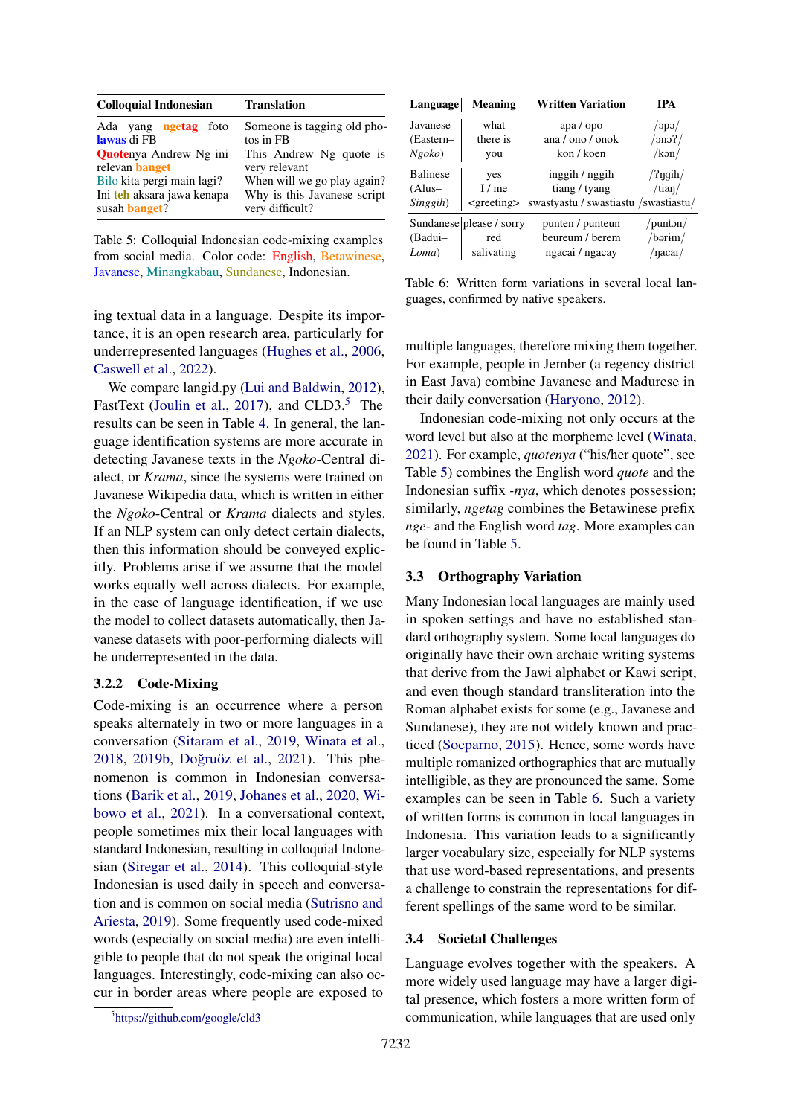<span id="page-6-3"></span>

| <b>Colloquial Indonesian</b>                                                                                                                                                       | <b>Translation</b>                                                                                                                                                    |  |  |
|------------------------------------------------------------------------------------------------------------------------------------------------------------------------------------|-----------------------------------------------------------------------------------------------------------------------------------------------------------------------|--|--|
| Ada yang <b>ngetag</b> foto<br>lawas di FB<br><b>Quotenya Andrew Ng ini</b><br>relevan banget<br>Bilo kita pergi main lagi?<br>Ini teh aksara jawa kenapa<br>susah <b>banget</b> ? | Someone is tagging old pho-<br>tos in FB<br>This Andrew Ng quote is<br>very relevant<br>When will we go play again?<br>Why is this Javanese script<br>very difficult? |  |  |
|                                                                                                                                                                                    |                                                                                                                                                                       |  |  |

Table 5: Colloquial Indonesian code-mixing examples from social media. Color code: English, Betawinese, Javanese, Minangkabau, Sundanese, Indonesian.

ing textual data in a language. Despite its importance, it is an open research area, particularly for underrepresented languages [\(Hughes et al.,](#page-12-7) [2006,](#page-12-7) [Caswell et al.,](#page-10-8) [2022\)](#page-10-8).

We compare langid.py [\(Lui and Baldwin,](#page-14-9) [2012\)](#page-14-9), FastText [\(Joulin et al.,](#page-13-9) [2017\)](#page-13-9), and  $CLD3<sup>5</sup>$  $CLD3<sup>5</sup>$  $CLD3<sup>5</sup>$ . The results can be seen in Table [4.](#page-5-3) In general, the language identification systems are more accurate in detecting Javanese texts in the *Ngoko*-Central dialect, or *Krama*, since the systems were trained on Javanese Wikipedia data, which is written in either the *Ngoko*-Central or *Krama* dialects and styles. If an NLP system can only detect certain dialects, then this information should be conveyed explicitly. Problems arise if we assume that the model works equally well across dialects. For example, in the case of language identification, if we use the model to collect datasets automatically, then Javanese datasets with poor-performing dialects will be underrepresented in the data.

#### <span id="page-6-1"></span>3.2.2 Code-Mixing

Code-mixing is an occurrence where a person speaks alternately in two or more languages in a conversation [\(Sitaram et al.,](#page-17-14) [2019,](#page-17-14) [Winata et al.,](#page-18-6) [2018,](#page-18-6) [2019b,](#page-18-7) Doğruöz et al., [2021\)](#page-11-12). This phenomenon is common in Indonesian conversations [\(Barik et al.,](#page-10-13) [2019,](#page-10-13) [Johanes et al.,](#page-12-8) [2020,](#page-12-8) [Wi](#page-18-4)[bowo et al.,](#page-18-4) [2021\)](#page-18-4). In a conversational context, people sometimes mix their local languages with standard Indonesian, resulting in colloquial Indonesian [\(Siregar et al.,](#page-17-15) [2014\)](#page-17-15). This colloquial-style Indonesian is used daily in speech and conversation and is common on social media [\(Sutrisno and](#page-17-16) [Ariesta,](#page-17-16) [2019\)](#page-17-16). Some frequently used code-mixed words (especially on social media) are even intelligible to people that do not speak the original local languages. Interestingly, code-mixing can also occur in border areas where people are exposed to

<span id="page-6-2"></span>

<span id="page-6-4"></span>

| Language        | <b>Meaning</b>           | <b>Written Variation</b>              | <b>TPA</b>            |
|-----------------|--------------------------|---------------------------------------|-----------------------|
| Javanese        | what                     | apa / opo                             | $\alpha$              |
| (Eastern-       | there is                 | ana $/$ ono $/$ onok                  | $\gamma$ nor $\gamma$ |
| Ngoko           | you                      | kon / koen                            | /kon/                 |
| <b>Balinese</b> | yes                      | inggih / nggih                        | /? $\eta$ gih/        |
| $(Alus-$        | I/me                     | tiang / tyang                         | /tian/                |
| Singgih)        | $<$ greeting $>$         | swastyastu / swastiastu / swastiastu/ |                       |
|                 | Sundanese please / sorry | punten / punteun                      | /puntən/              |
| (Badui-         | red                      | beureum / berem                       | /bər <del>i</del> m/  |
| Loma)           | salivating               | ngacai / ngacay                       | /nacai/               |

Table 6: Written form variations in several local languages, confirmed by native speakers.

multiple languages, therefore mixing them together. For example, people in Jember (a regency district in East Java) combine Javanese and Madurese in their daily conversation [\(Haryono,](#page-12-9) [2012\)](#page-12-9).

Indonesian code-mixing not only occurs at the word level but also at the morpheme level [\(Winata,](#page-18-8) [2021\)](#page-18-8). For example, *quotenya* ("his/her quote", see Table [5\)](#page-6-3) combines the English word *quote* and the Indonesian suffix *-nya*, which denotes possession; similarly, *ngetag* combines the Betawinese prefix *nge-* and the English word *tag*. More examples can be found in Table [5.](#page-6-3)

### <span id="page-6-0"></span>3.3 Orthography Variation

Many Indonesian local languages are mainly used in spoken settings and have no established standard orthography system. Some local languages do originally have their own archaic writing systems that derive from the Jawi alphabet or Kawi script, and even though standard transliteration into the Roman alphabet exists for some (e.g., Javanese and Sundanese), they are not widely known and practiced [\(Soeparno,](#page-17-17) [2015\)](#page-17-17). Hence, some words have multiple romanized orthographies that are mutually intelligible, as they are pronounced the same. Some examples can be seen in Table [6.](#page-6-4) Such a variety of written forms is common in local languages in Indonesia. This variation leads to a significantly larger vocabulary size, especially for NLP systems that use word-based representations, and presents a challenge to constrain the representations for different spellings of the same word to be similar.

### <span id="page-6-5"></span>3.4 Societal Challenges

Language evolves together with the speakers. A more widely used language may have a larger digital presence, which fosters a more written form of communication, while languages that are used only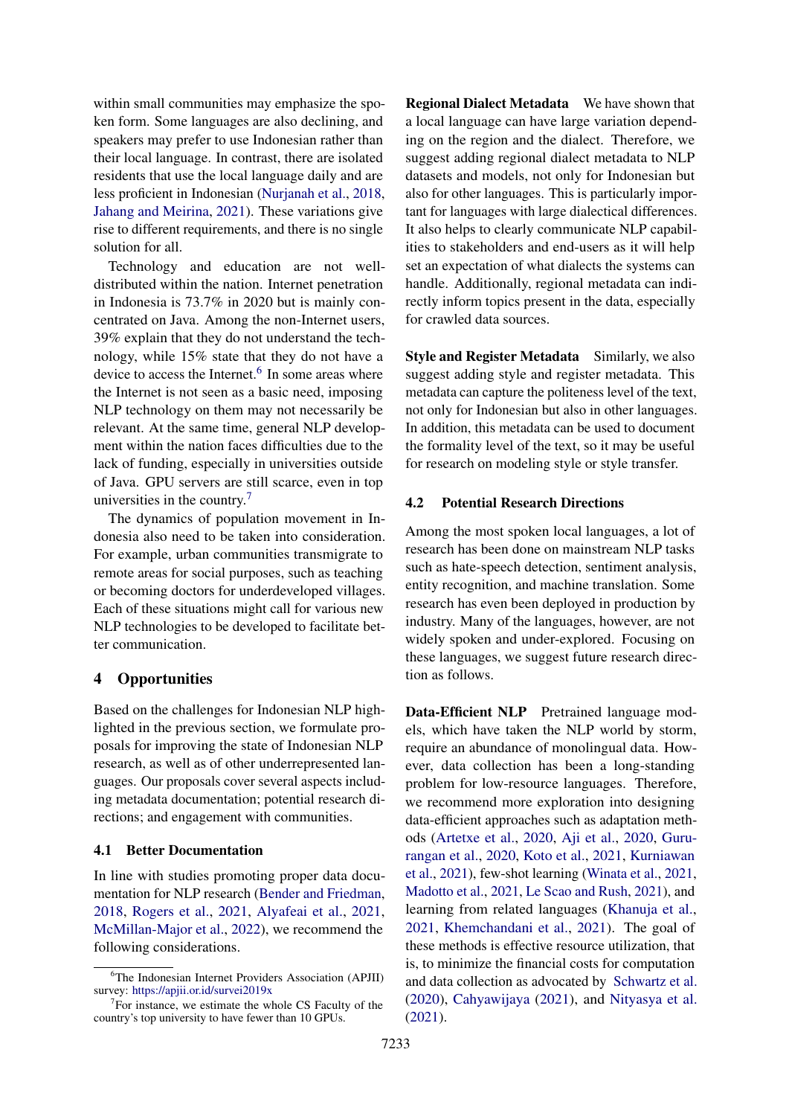within small communities may emphasize the spoken form. Some languages are also declining, and speakers may prefer to use Indonesian rather than their local language. In contrast, there are isolated residents that use the local language daily and are less proficient in Indonesian [\(Nurjanah et al.,](#page-15-8) [2018,](#page-15-8) [Jahang and Meirina,](#page-12-10) [2021\)](#page-12-10). These variations give rise to different requirements, and there is no single solution for all.

Technology and education are not welldistributed within the nation. Internet penetration in Indonesia is 73.7% in 2020 but is mainly concentrated on Java. Among the non-Internet users, 39% explain that they do not understand the technology, while 15% state that they do not have a device to access the Internet.<sup>[6](#page-7-0)</sup> In some areas where the Internet is not seen as a basic need, imposing NLP technology on them may not necessarily be relevant. At the same time, general NLP development within the nation faces difficulties due to the lack of funding, especially in universities outside of Java. GPU servers are still scarce, even in top universities in the country.[7](#page-7-1)

The dynamics of population movement in Indonesia also need to be taken into consideration. For example, urban communities transmigrate to remote areas for social purposes, such as teaching or becoming doctors for underdeveloped villages. Each of these situations might call for various new NLP technologies to be developed to facilitate better communication.

# 4 Opportunities

Based on the challenges for Indonesian NLP highlighted in the previous section, we formulate proposals for improving the state of Indonesian NLP research, as well as of other underrepresented languages. Our proposals cover several aspects including metadata documentation; potential research directions; and engagement with communities.

### 4.1 Better Documentation

In line with studies promoting proper data documentation for NLP research [\(Bender and Friedman,](#page-10-14) [2018,](#page-10-14) [Rogers et al.,](#page-16-10) [2021,](#page-16-10) [Alyafeai et al.,](#page-9-9) [2021,](#page-9-9) [McMillan-Major et al.,](#page-15-9) [2022\)](#page-15-9), we recommend the following considerations.

Regional Dialect Metadata We have shown that a local language can have large variation depending on the region and the dialect. Therefore, we suggest adding regional dialect metadata to NLP datasets and models, not only for Indonesian but also for other languages. This is particularly important for languages with large dialectical differences. It also helps to clearly communicate NLP capabilities to stakeholders and end-users as it will help set an expectation of what dialects the systems can handle. Additionally, regional metadata can indirectly inform topics present in the data, especially for crawled data sources.

Style and Register Metadata Similarly, we also suggest adding style and register metadata. This metadata can capture the politeness level of the text, not only for Indonesian but also in other languages. In addition, this metadata can be used to document the formality level of the text, so it may be useful for research on modeling style or style transfer.

### 4.2 Potential Research Directions

Among the most spoken local languages, a lot of research has been done on mainstream NLP tasks such as hate-speech detection, sentiment analysis, entity recognition, and machine translation. Some research has even been deployed in production by industry. Many of the languages, however, are not widely spoken and under-explored. Focusing on these languages, we suggest future research direction as follows.

Data-Efficient NLP Pretrained language models, which have taken the NLP world by storm, require an abundance of monolingual data. However, data collection has been a long-standing problem for low-resource languages. Therefore, we recommend more exploration into designing data-efficient approaches such as adaptation methods [\(Artetxe et al.,](#page-9-10) [2020,](#page-9-10) [Aji et al.,](#page-9-11) [2020,](#page-9-11) [Guru](#page-12-11)[rangan et al.,](#page-12-11) [2020,](#page-12-11) [Koto et al.,](#page-13-3) [2021,](#page-13-3) [Kurniawan](#page-13-10) [et al.,](#page-13-10) [2021\)](#page-13-10), few-shot learning [\(Winata et al.,](#page-18-9) [2021,](#page-18-9) [Madotto et al.,](#page-14-10) [2021,](#page-14-10) [Le Scao and Rush,](#page-14-11) [2021\)](#page-14-11), and learning from related languages [\(Khanuja et al.,](#page-13-11) [2021,](#page-13-11) [Khemchandani et al.,](#page-13-12) [2021\)](#page-13-12). The goal of these methods is effective resource utilization, that is, to minimize the financial costs for computation and data collection as advocated by [Schwartz et al.](#page-16-11) [\(2020\)](#page-16-11), [Cahyawijaya](#page-10-15) [\(2021\)](#page-10-15), and [Nityasya et al.](#page-15-10) [\(2021\)](#page-15-10).

<span id="page-7-0"></span><sup>6</sup>The Indonesian Internet Providers Association (APJII) survey: <https://apjii.or.id/survei2019x>

<span id="page-7-1"></span> $7$  For instance, we estimate the whole CS Faculty of the country's top university to have fewer than 10 GPUs.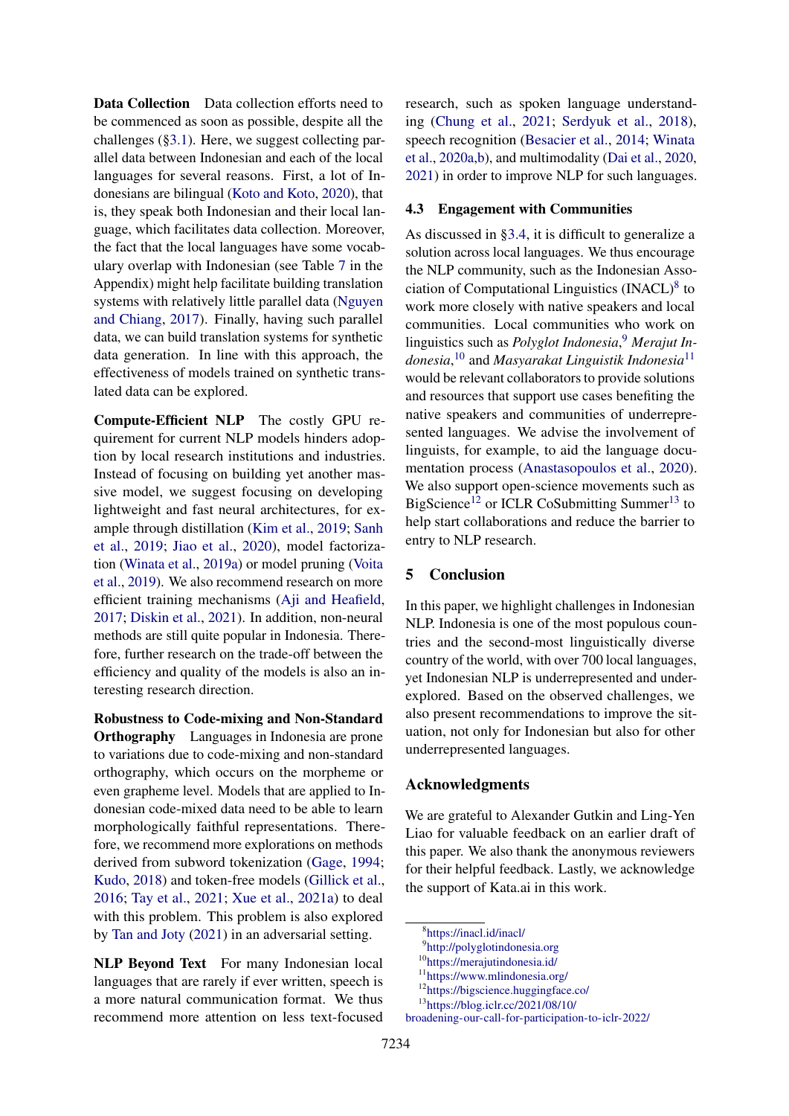Data Collection Data collection efforts need to be commenced as soon as possible, despite all the challenges ([§3.1\)](#page-3-1). Here, we suggest collecting parallel data between Indonesian and each of the local languages for several reasons. First, a lot of Indonesians are bilingual [\(Koto and Koto,](#page-13-7) [2020\)](#page-13-7), that is, they speak both Indonesian and their local language, which facilitates data collection. Moreover, the fact that the local languages have some vocabulary overlap with Indonesian (see Table [7](#page-20-2) in the Appendix) might help facilitate building translation systems with relatively little parallel data [\(Nguyen](#page-15-11) [and Chiang,](#page-15-11) [2017\)](#page-15-11). Finally, having such parallel data, we can build translation systems for synthetic data generation. In line with this approach, the effectiveness of models trained on synthetic translated data can be explored.

Compute-Efficient NLP The costly GPU requirement for current NLP models hinders adoption by local research institutions and industries. Instead of focusing on building yet another massive model, we suggest focusing on developing lightweight and fast neural architectures, for example through distillation [\(Kim et al.,](#page-13-13) [2019;](#page-13-13) [Sanh](#page-16-12) [et al.,](#page-16-12) [2019;](#page-16-12) [Jiao et al.,](#page-12-12) [2020\)](#page-12-12), model factorization [\(Winata et al.,](#page-18-10) [2019a\)](#page-18-10) or model pruning [\(Voita](#page-18-11) [et al.,](#page-18-11) [2019\)](#page-18-11). We also recommend research on more efficient training mechanisms [\(Aji and Heafield,](#page-9-12) [2017;](#page-9-12) [Diskin et al.,](#page-11-13) [2021\)](#page-11-13). In addition, non-neural methods are still quite popular in Indonesia. Therefore, further research on the trade-off between the efficiency and quality of the models is also an interesting research direction.

Robustness to Code-mixing and Non-Standard Orthography Languages in Indonesia are prone to variations due to code-mixing and non-standard orthography, which occurs on the morpheme or even grapheme level. Models that are applied to Indonesian code-mixed data need to be able to learn morphologically faithful representations. Therefore, we recommend more explorations on methods derived from subword tokenization [\(Gage,](#page-11-14) [1994;](#page-11-14) [Kudo,](#page-13-14) [2018\)](#page-13-14) and token-free models [\(Gillick et al.,](#page-11-15) [2016;](#page-11-15) [Tay et al.,](#page-17-18) [2021;](#page-17-18) [Xue et al.,](#page-18-12) [2021a\)](#page-18-12) to deal with this problem. This problem is also explored by [Tan and Joty](#page-17-19) [\(2021\)](#page-17-19) in an adversarial setting.

NLP Beyond Text For many Indonesian local languages that are rarely if ever written, speech is a more natural communication format. We thus recommend more attention on less text-focused research, such as spoken language understanding [\(Chung et al.,](#page-10-16) [2021;](#page-10-16) [Serdyuk et al.,](#page-17-20) [2018\)](#page-17-20), speech recognition [\(Besacier et al.,](#page-10-17) [2014;](#page-10-17) [Winata](#page-18-13) [et al.,](#page-18-13) [2020a](#page-18-13)[,b\)](#page-18-14), and multimodality [\(Dai et al.,](#page-11-16) [2020,](#page-11-16) [2021\)](#page-11-17) in order to improve NLP for such languages.

# 4.3 Engagement with Communities

As discussed in [§3.4,](#page-6-5) it is difficult to generalize a solution across local languages. We thus encourage the NLP community, such as the Indonesian Asso-ciation of Computational Linguistics (INACL)<sup>[8](#page-8-0)</sup> to work more closely with native speakers and local communities. Local communities who work on linguistics such as *Polyglot Indonesia*, [9](#page-8-1) *Merajut Indonesia*, [10](#page-8-2) and *Masyarakat Linguistik Indonesia*[11](#page-8-3) would be relevant collaborators to provide solutions and resources that support use cases benefiting the native speakers and communities of underrepresented languages. We advise the involvement of linguists, for example, to aid the language documentation process [\(Anastasopoulos et al.,](#page-9-13) [2020\)](#page-9-13). We also support open-science movements such as BigScience<sup>[12](#page-8-4)</sup> or ICLR CoSubmitting Summer<sup>[13](#page-8-5)</sup> to help start collaborations and reduce the barrier to entry to NLP research.

# 5 Conclusion

In this paper, we highlight challenges in Indonesian NLP. Indonesia is one of the most populous countries and the second-most linguistically diverse country of the world, with over 700 local languages, yet Indonesian NLP is underrepresented and underexplored. Based on the observed challenges, we also present recommendations to improve the situation, not only for Indonesian but also for other underrepresented languages.

# Acknowledgments

We are grateful to Alexander Gutkin and Ling-Yen Liao for valuable feedback on an earlier draft of this paper. We also thank the anonymous reviewers for their helpful feedback. Lastly, we acknowledge the support of Kata.ai in this work.

<span id="page-8-0"></span><sup>8</sup> <https://inacl.id/inacl/>

<span id="page-8-1"></span><sup>9</sup> <http://polyglotindonesia.org>

<span id="page-8-2"></span><sup>10</sup><https://merajutindonesia.id/>

<span id="page-8-3"></span><sup>11</sup><https://www.mlindonesia.org/>

<span id="page-8-4"></span><sup>12</sup><https://bigscience.huggingface.co/>

<span id="page-8-5"></span><sup>13</sup>[https://blog.iclr.cc/2021/08/10/](https://blog.iclr.cc/2021/08/10/broadening-our-call-for-participation-to-iclr-2022/)

[broadening-our-call-for-participation-to-iclr-2022/](https://blog.iclr.cc/2021/08/10/broadening-our-call-for-participation-to-iclr-2022/)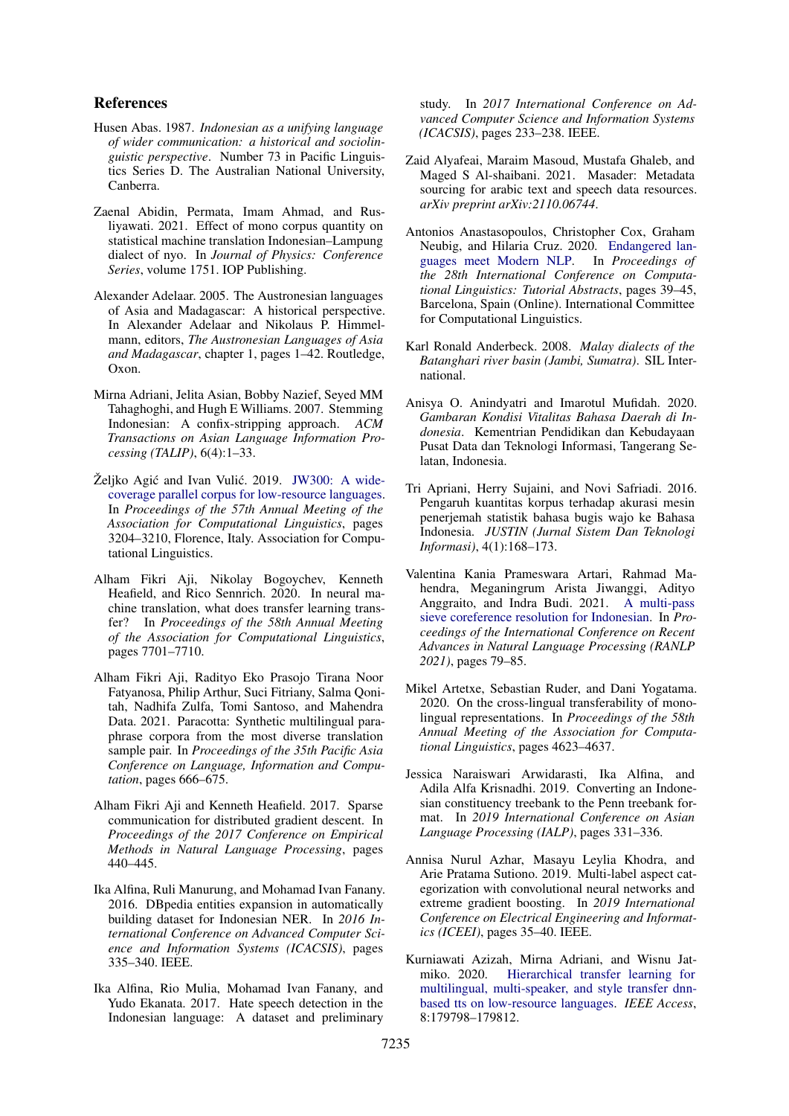### References

- <span id="page-9-2"></span>Husen Abas. 1987. *Indonesian as a unifying language of wider communication: a historical and sociolinguistic perspective*. Number 73 in Pacific Linguistics Series D. The Australian National University, Canberra.
- <span id="page-9-14"></span>Zaenal Abidin, Permata, Imam Ahmad, and Rusliyawati. 2021. Effect of mono corpus quantity on statistical machine translation Indonesian–Lampung dialect of nyo. In *Journal of Physics: Conference Series*, volume 1751. IOP Publishing.
- <span id="page-9-1"></span>Alexander Adelaar. 2005. The Austronesian languages of Asia and Madagascar: A historical perspective. In Alexander Adelaar and Nikolaus P. Himmelmann, editors, *The Austronesian Languages of Asia and Madagascar*, chapter 1, pages 1–42. Routledge, Oxon.
- <span id="page-9-19"></span>Mirna Adriani, Jelita Asian, Bobby Nazief, Seyed MM Tahaghoghi, and Hugh E Williams. 2007. Stemming Indonesian: A confix-stripping approach. *ACM Transactions on Asian Language Information Processing (TALIP)*, 6(4):1–33.
- <span id="page-9-4"></span>Željko Agić and Ivan Vulić. 2019. [JW300: A wide](https://doi.org/10.18653/v1/P19-1310)[coverage parallel corpus for low-resource languages.](https://doi.org/10.18653/v1/P19-1310) In *Proceedings of the 57th Annual Meeting of the Association for Computational Linguistics*, pages 3204–3210, Florence, Italy. Association for Computational Linguistics.
- <span id="page-9-11"></span>Alham Fikri Aji, Nikolay Bogoychev, Kenneth Heafield, and Rico Sennrich. 2020. In neural machine translation, what does transfer learning transfer? In *Proceedings of the 58th Annual Meeting of the Association for Computational Linguistics*, pages 7701–7710.
- <span id="page-9-3"></span>Alham Fikri Aji, Radityo Eko Prasojo Tirana Noor Fatyanosa, Philip Arthur, Suci Fitriany, Salma Qonitah, Nadhifa Zulfa, Tomi Santoso, and Mahendra Data. 2021. Paracotta: Synthetic multilingual paraphrase corpora from the most diverse translation sample pair. In *Proceedings of the 35th Pacific Asia Conference on Language, Information and Computation*, pages 666–675.
- <span id="page-9-12"></span>Alham Fikri Aji and Kenneth Heafield. 2017. Sparse communication for distributed gradient descent. In *Proceedings of the 2017 Conference on Empirical Methods in Natural Language Processing*, pages 440–445.
- <span id="page-9-15"></span>Ika Alfina, Ruli Manurung, and Mohamad Ivan Fanany. 2016. DBpedia entities expansion in automatically building dataset for Indonesian NER. In *2016 International Conference on Advanced Computer Science and Information Systems (ICACSIS)*, pages 335–340. IEEE.
- <span id="page-9-5"></span>Ika Alfina, Rio Mulia, Mohamad Ivan Fanany, and Yudo Ekanata. 2017. Hate speech detection in the Indonesian language: A dataset and preliminary

study. In *2017 International Conference on Advanced Computer Science and Information Systems (ICACSIS)*, pages 233–238. IEEE.

- <span id="page-9-9"></span>Zaid Alyafeai, Maraim Masoud, Mustafa Ghaleb, and Maged S Al-shaibani. 2021. Masader: Metadata sourcing for arabic text and speech data resources. *arXiv preprint arXiv:2110.06744*.
- <span id="page-9-13"></span>Antonios Anastasopoulos, Christopher Cox, Graham Neubig, and Hilaria Cruz. 2020. [Endangered lan](https://doi.org/10.18653/v1/2020.coling-tutorials.7)[guages meet Modern NLP.](https://doi.org/10.18653/v1/2020.coling-tutorials.7) In *Proceedings of the 28th International Conference on Computational Linguistics: Tutorial Abstracts*, pages 39–45, Barcelona, Spain (Online). International Committee for Computational Linguistics.
- <span id="page-9-8"></span>Karl Ronald Anderbeck. 2008. *Malay dialects of the Batanghari river basin (Jambi, Sumatra)*. SIL International.
- <span id="page-9-0"></span>Anisya O. Anindyatri and Imarotul Mufidah. 2020. *Gambaran Kondisi Vitalitas Bahasa Daerah di Indonesia*. Kementrian Pendidikan dan Kebudayaan Pusat Data dan Teknologi Informasi, Tangerang Selatan, Indonesia.
- <span id="page-9-6"></span>Tri Apriani, Herry Sujaini, and Novi Safriadi. 2016. Pengaruh kuantitas korpus terhadap akurasi mesin penerjemah statistik bahasa bugis wajo ke Bahasa Indonesia. *JUSTIN (Jurnal Sistem Dan Teknologi Informasi)*, 4(1):168–173.
- <span id="page-9-17"></span>Valentina Kania Prameswara Artari, Rahmad Mahendra, Meganingrum Arista Jiwanggi, Adityo Anggraito, and Indra Budi. 2021. [A multi-pass](https://aclanthology.org/2021.ranlp-1.10) [sieve coreference resolution for Indonesian.](https://aclanthology.org/2021.ranlp-1.10) In *Proceedings of the International Conference on Recent Advances in Natural Language Processing (RANLP 2021)*, pages 79–85.
- <span id="page-9-10"></span>Mikel Artetxe, Sebastian Ruder, and Dani Yogatama. 2020. On the cross-lingual transferability of monolingual representations. In *Proceedings of the 58th Annual Meeting of the Association for Computational Linguistics*, pages 4623–4637.
- <span id="page-9-16"></span>Jessica Naraiswari Arwidarasti, Ika Alfina, and Adila Alfa Krisnadhi. 2019. Converting an Indonesian constituency treebank to the Penn treebank format. In *2019 International Conference on Asian Language Processing (IALP)*, pages 331–336.
- <span id="page-9-18"></span>Annisa Nurul Azhar, Masayu Leylia Khodra, and Arie Pratama Sutiono. 2019. Multi-label aspect categorization with convolutional neural networks and extreme gradient boosting. In *2019 International Conference on Electrical Engineering and Informatics (ICEEI)*, pages 35–40. IEEE.
- <span id="page-9-7"></span>Kurniawati Azizah, Mirna Adriani, and Wisnu Jatmiko. 2020. [Hierarchical transfer learning for](https://doi.org/10.1109/ACCESS.2020.3027619) [multilingual, multi-speaker, and style transfer dnn](https://doi.org/10.1109/ACCESS.2020.3027619)[based tts on low-resource languages.](https://doi.org/10.1109/ACCESS.2020.3027619) *IEEE Access*, 8:179798–179812.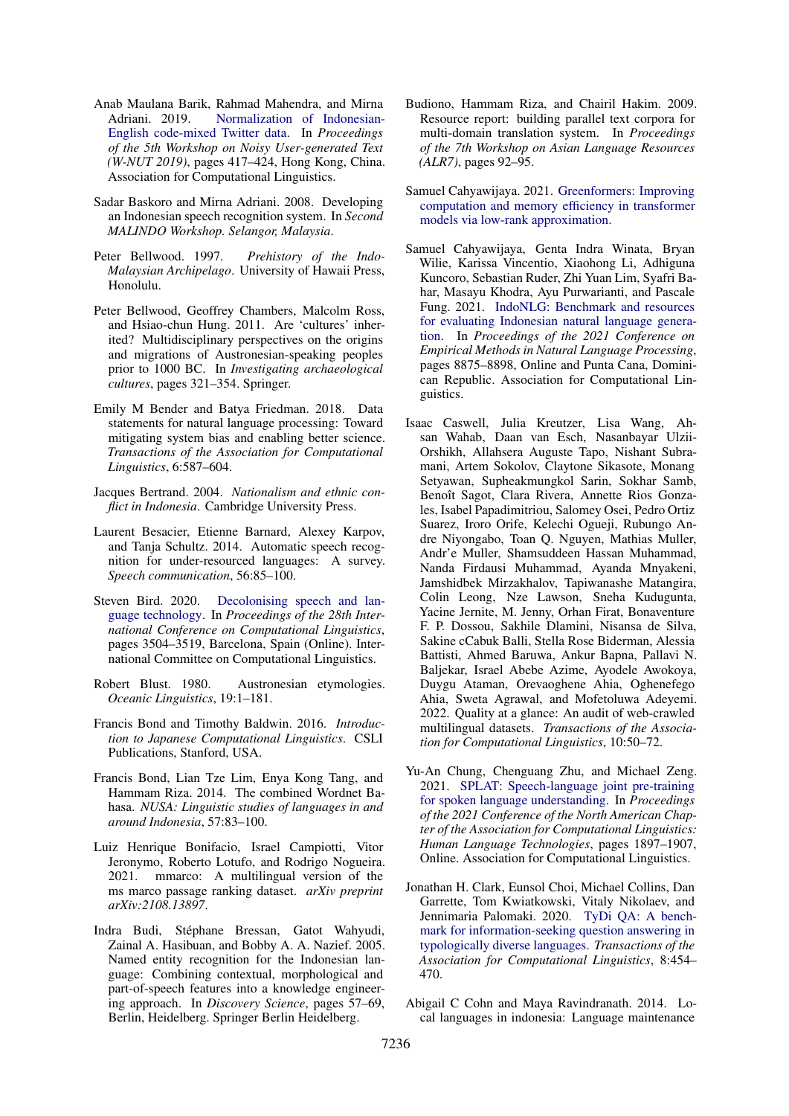- <span id="page-10-13"></span>Anab Maulana Barik, Rahmad Mahendra, and Mirna Adriani. 2019. [Normalization of Indonesian-](https://doi.org/10.18653/v1/D19-5554)[English code-mixed Twitter data.](https://doi.org/10.18653/v1/D19-5554) In *Proceedings of the 5th Workshop on Noisy User-generated Text (W-NUT 2019)*, pages 417–424, Hong Kong, China. Association for Computational Linguistics.
- <span id="page-10-10"></span>Sadar Baskoro and Mirna Adriani. 2008. Developing an Indonesian speech recognition system. In *Second MALINDO Workshop. Selangor, Malaysia*.
- <span id="page-10-5"></span>Peter Bellwood. 1997. *Prehistory of the Indo-Malaysian Archipelago*. University of Hawaii Press, Honolulu.
- <span id="page-10-4"></span>Peter Bellwood, Geoffrey Chambers, Malcolm Ross, and Hsiao-chun Hung. 2011. Are 'cultures' inherited? Multidisciplinary perspectives on the origins and migrations of Austronesian-speaking peoples prior to 1000 BC. In *Investigating archaeological cultures*, pages 321–354. Springer.
- <span id="page-10-14"></span>Emily M Bender and Batya Friedman. 2018. Data statements for natural language processing: Toward mitigating system bias and enabling better science. *Transactions of the Association for Computational Linguistics*, 6:587–604.
- <span id="page-10-1"></span>Jacques Bertrand. 2004. *Nationalism and ethnic conflict in Indonesia*. Cambridge University Press.
- <span id="page-10-17"></span>Laurent Besacier, Etienne Barnard, Alexey Karpov, and Tanja Schultz. 2014. Automatic speech recognition for under-resourced languages: A survey. *Speech communication*, 56:85–100.
- <span id="page-10-2"></span>Steven Bird. 2020. [Decolonising speech and lan](https://doi.org/10.18653/v1/2020.coling-main.313)[guage technology.](https://doi.org/10.18653/v1/2020.coling-main.313) In *Proceedings of the 28th International Conference on Computational Linguistics*, pages 3504–3519, Barcelona, Spain (Online). International Committee on Computational Linguistics.
- <span id="page-10-3"></span>Robert Blust. 1980. Austronesian etymologies. *Oceanic Linguistics*, 19:1–181.
- <span id="page-10-12"></span>Francis Bond and Timothy Baldwin. 2016. *Introduction to Japanese Computational Linguistics*. CSLI Publications, Stanford, USA.
- <span id="page-10-19"></span>Francis Bond, Lian Tze Lim, Enya Kong Tang, and Hammam Riza. 2014. The combined Wordnet Bahasa. *NUSA: Linguistic studies of languages in and around Indonesia*, 57:83–100.
- <span id="page-10-7"></span>Luiz Henrique Bonifacio, Israel Campiotti, Vitor Jeronymo, Roberto Lotufo, and Rodrigo Nogueira. 2021. mmarco: A multilingual version of the ms marco passage ranking dataset. *arXiv preprint arXiv:2108.13897*.
- <span id="page-10-9"></span>Indra Budi, Stéphane Bressan, Gatot Wahyudi, Zainal A. Hasibuan, and Bobby A. A. Nazief. 2005. Named entity recognition for the Indonesian language: Combining contextual, morphological and part-of-speech features into a knowledge engineering approach. In *Discovery Science*, pages 57–69, Berlin, Heidelberg. Springer Berlin Heidelberg.
- <span id="page-10-18"></span>Budiono, Hammam Riza, and Chairil Hakim. 2009. Resource report: building parallel text corpora for multi-domain translation system. In *Proceedings of the 7th Workshop on Asian Language Resources (ALR7)*, pages 92–95.
- <span id="page-10-15"></span>Samuel Cahyawijaya. 2021. [Greenformers: Improving](http://arxiv.org/abs/2108.10808) [computation and memory efficiency in transformer](http://arxiv.org/abs/2108.10808) [models via low-rank approximation.](http://arxiv.org/abs/2108.10808)
- <span id="page-10-11"></span>Samuel Cahyawijaya, Genta Indra Winata, Bryan Wilie, Karissa Vincentio, Xiaohong Li, Adhiguna Kuncoro, Sebastian Ruder, Zhi Yuan Lim, Syafri Bahar, Masayu Khodra, Ayu Purwarianti, and Pascale Fung. 2021. [IndoNLG: Benchmark and resources](https://doi.org/10.18653/v1/2021.emnlp-main.699) [for evaluating Indonesian natural language genera](https://doi.org/10.18653/v1/2021.emnlp-main.699)[tion.](https://doi.org/10.18653/v1/2021.emnlp-main.699) In *Proceedings of the 2021 Conference on Empirical Methods in Natural Language Processing*, pages 8875–8898, Online and Punta Cana, Dominican Republic. Association for Computational Linguistics.
- <span id="page-10-8"></span>Isaac Caswell, Julia Kreutzer, Lisa Wang, Ahsan Wahab, Daan van Esch, Nasanbayar Ulzii-Orshikh, Allahsera Auguste Tapo, Nishant Subramani, Artem Sokolov, Claytone Sikasote, Monang Setyawan, Supheakmungkol Sarin, Sokhar Samb, Benoît Sagot, Clara Rivera, Annette Rios Gonzales, Isabel Papadimitriou, Salomey Osei, Pedro Ortiz Suarez, Iroro Orife, Kelechi Ogueji, Rubungo Andre Niyongabo, Toan Q. Nguyen, Mathias Muller, Andr'e Muller, Shamsuddeen Hassan Muhammad, Nanda Firdausi Muhammad, Ayanda Mnyakeni, Jamshidbek Mirzakhalov, Tapiwanashe Matangira, Colin Leong, Nze Lawson, Sneha Kudugunta, Yacine Jernite, M. Jenny, Orhan Firat, Bonaventure F. P. Dossou, Sakhile Dlamini, Nisansa de Silva, Sakine cCabuk Balli, Stella Rose Biderman, Alessia Battisti, Ahmed Baruwa, Ankur Bapna, Pallavi N. Baljekar, Israel Abebe Azime, Ayodele Awokoya, Duygu Ataman, Orevaoghene Ahia, Oghenefego Ahia, Sweta Agrawal, and Mofetoluwa Adeyemi. 2022. Quality at a glance: An audit of web-crawled multilingual datasets. *Transactions of the Association for Computational Linguistics*, 10:50–72.
- <span id="page-10-16"></span>Yu-An Chung, Chenguang Zhu, and Michael Zeng. 2021. [SPLAT: Speech-language joint pre-training](https://doi.org/10.18653/v1/2021.naacl-main.152) [for spoken language understanding.](https://doi.org/10.18653/v1/2021.naacl-main.152) In *Proceedings of the 2021 Conference of the North American Chapter of the Association for Computational Linguistics: Human Language Technologies*, pages 1897–1907, Online. Association for Computational Linguistics.
- <span id="page-10-6"></span>Jonathan H. Clark, Eunsol Choi, Michael Collins, Dan Garrette, Tom Kwiatkowski, Vitaly Nikolaev, and Jennimaria Palomaki. 2020. [TyDi QA: A bench](https://doi.org/10.1162/tacl_a_00317)[mark for information-seeking question answering in](https://doi.org/10.1162/tacl_a_00317) [typologically diverse languages.](https://doi.org/10.1162/tacl_a_00317) *Transactions of the Association for Computational Linguistics*, 8:454– 470.
- <span id="page-10-0"></span>Abigail C Cohn and Maya Ravindranath. 2014. Local languages in indonesia: Language maintenance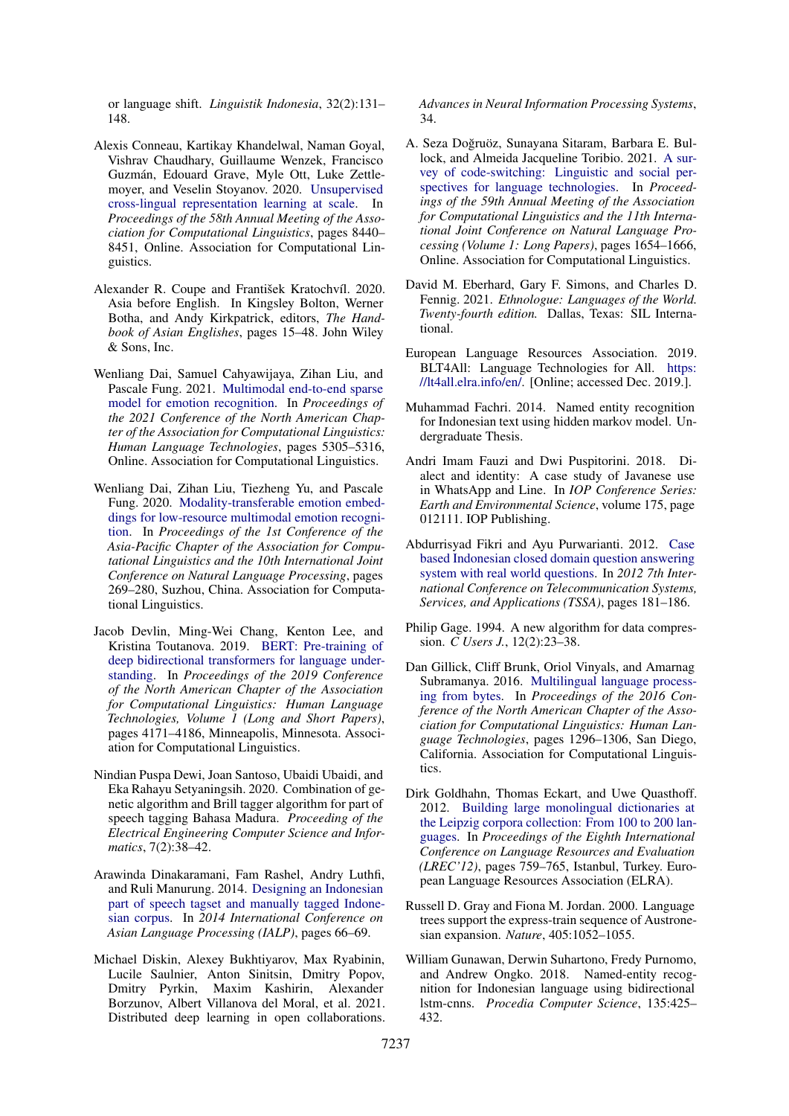or language shift. *Linguistik Indonesia*, 32(2):131– 148.

- <span id="page-11-10"></span>Alexis Conneau, Kartikay Khandelwal, Naman Goyal, Vishrav Chaudhary, Guillaume Wenzek, Francisco Guzmán, Edouard Grave, Myle Ott, Luke Zettlemoyer, and Veselin Stoyanov. 2020. [Unsupervised](https://doi.org/10.18653/v1/2020.acl-main.747) [cross-lingual representation learning at scale.](https://doi.org/10.18653/v1/2020.acl-main.747) In *Proceedings of the 58th Annual Meeting of the Association for Computational Linguistics*, pages 8440– 8451, Online. Association for Computational Linguistics.
- <span id="page-11-3"></span>Alexander R. Coupe and František Kratochvíl. 2020. Asia before English. In Kingsley Bolton, Werner Botha, and Andy Kirkpatrick, editors, *The Handbook of Asian Englishes*, pages 15–48. John Wiley & Sons, Inc.
- <span id="page-11-17"></span>Wenliang Dai, Samuel Cahyawijaya, Zihan Liu, and Pascale Fung. 2021. [Multimodal end-to-end sparse](https://doi.org/10.18653/v1/2021.naacl-main.417) [model for emotion recognition.](https://doi.org/10.18653/v1/2021.naacl-main.417) In *Proceedings of the 2021 Conference of the North American Chapter of the Association for Computational Linguistics: Human Language Technologies*, pages 5305–5316, Online. Association for Computational Linguistics.
- <span id="page-11-16"></span>Wenliang Dai, Zihan Liu, Tiezheng Yu, and Pascale Fung. 2020. [Modality-transferable emotion embed](https://aclanthology.org/2020.aacl-main.30)[dings for low-resource multimodal emotion recogni](https://aclanthology.org/2020.aacl-main.30)[tion.](https://aclanthology.org/2020.aacl-main.30) In *Proceedings of the 1st Conference of the Asia-Pacific Chapter of the Association for Computational Linguistics and the 10th International Joint Conference on Natural Language Processing*, pages 269–280, Suzhou, China. Association for Computational Linguistics.
- <span id="page-11-4"></span>Jacob Devlin, Ming-Wei Chang, Kenton Lee, and Kristina Toutanova. 2019. [BERT: Pre-training of](https://doi.org/10.18653/v1/N19-1423) [deep bidirectional transformers for language under](https://doi.org/10.18653/v1/N19-1423)[standing.](https://doi.org/10.18653/v1/N19-1423) In *Proceedings of the 2019 Conference of the North American Chapter of the Association for Computational Linguistics: Human Language Technologies, Volume 1 (Long and Short Papers)*, pages 4171–4186, Minneapolis, Minnesota. Association for Computational Linguistics.
- <span id="page-11-9"></span>Nindian Puspa Dewi, Joan Santoso, Ubaidi Ubaidi, and Eka Rahayu Setyaningsih. 2020. Combination of genetic algorithm and Brill tagger algorithm for part of speech tagging Bahasa Madura. *Proceeding of the Electrical Engineering Computer Science and Informatics*, 7(2):38–42.
- <span id="page-11-6"></span>Arawinda Dinakaramani, Fam Rashel, Andry Luthfi, and Ruli Manurung. 2014. [Designing an Indonesian](https://doi.org/10.1109/IALP.2014.6973519) [part of speech tagset and manually tagged Indone](https://doi.org/10.1109/IALP.2014.6973519)[sian corpus.](https://doi.org/10.1109/IALP.2014.6973519) In *2014 International Conference on Asian Language Processing (IALP)*, pages 66–69.
- <span id="page-11-13"></span>Michael Diskin, Alexey Bukhtiyarov, Max Ryabinin, Lucile Saulnier, Anton Sinitsin, Dmitry Popov, Dmitry Pyrkin, Maxim Kashirin, Alexander Borzunov, Albert Villanova del Moral, et al. 2021. Distributed deep learning in open collaborations.

*Advances in Neural Information Processing Systems*, 34.

- <span id="page-11-12"></span>A. Seza Dogruöz, Sunayana Sitaram, Barbara E. Bul- ˘ lock, and Almeida Jacqueline Toribio. 2021. [A sur](https://doi.org/10.18653/v1/2021.acl-long.131)[vey of code-switching: Linguistic and social per](https://doi.org/10.18653/v1/2021.acl-long.131)[spectives for language technologies.](https://doi.org/10.18653/v1/2021.acl-long.131) In *Proceedings of the 59th Annual Meeting of the Association for Computational Linguistics and the 11th International Joint Conference on Natural Language Processing (Volume 1: Long Papers)*, pages 1654–1666, Online. Association for Computational Linguistics.
- <span id="page-11-0"></span>David M. Eberhard, Gary F. Simons, and Charles D. Fennig. 2021. *Ethnologue: Languages of the World. Twenty-fourth edition.* Dallas, Texas: SIL International.
- <span id="page-11-1"></span>European Language Resources Association. 2019. BLT4All: Language Technologies for All. [https:](https://lt4all.elra.info/en/) [//lt4all.elra.info/en/.](https://lt4all.elra.info/en/) [Online; accessed Dec. 2019.].
- <span id="page-11-18"></span>Muhammad Fachri. 2014. Named entity recognition for Indonesian text using hidden markov model. Undergraduate Thesis.
- <span id="page-11-11"></span>Andri Imam Fauzi and Dwi Puspitorini. 2018. Dialect and identity: A case study of Javanese use in WhatsApp and Line. In *IOP Conference Series: Earth and Environmental Science*, volume 175, page 012111. IOP Publishing.
- <span id="page-11-8"></span>Abdurrisyad Fikri and Ayu Purwarianti. 2012. [Case](https://doi.org/10.1109/TSSA.2012.6366047) [based Indonesian closed domain question answering](https://doi.org/10.1109/TSSA.2012.6366047) [system with real world questions.](https://doi.org/10.1109/TSSA.2012.6366047) In *2012 7th International Conference on Telecommunication Systems, Services, and Applications (TSSA)*, pages 181–186.
- <span id="page-11-14"></span>Philip Gage. 1994. A new algorithm for data compression. *C Users J.*, 12(2):23–38.
- <span id="page-11-15"></span>Dan Gillick, Cliff Brunk, Oriol Vinyals, and Amarnag Subramanya. 2016. [Multilingual language process](https://doi.org/10.18653/v1/N16-1155)[ing from bytes.](https://doi.org/10.18653/v1/N16-1155) In *Proceedings of the 2016 Conference of the North American Chapter of the Association for Computational Linguistics: Human Language Technologies*, pages 1296–1306, San Diego, California. Association for Computational Linguistics.
- <span id="page-11-5"></span>Dirk Goldhahn, Thomas Eckart, and Uwe Quasthoff. 2012. [Building large monolingual dictionaries at](http://www.lrec-conf.org/proceedings/lrec2012/pdf/327_Paper.pdf) [the Leipzig corpora collection: From 100 to 200 lan](http://www.lrec-conf.org/proceedings/lrec2012/pdf/327_Paper.pdf)[guages.](http://www.lrec-conf.org/proceedings/lrec2012/pdf/327_Paper.pdf) In *Proceedings of the Eighth International Conference on Language Resources and Evaluation (LREC'12)*, pages 759–765, Istanbul, Turkey. European Language Resources Association (ELRA).
- <span id="page-11-2"></span>Russell D. Gray and Fiona M. Jordan. 2000. Language trees support the express-train sequence of Austronesian expansion. *Nature*, 405:1052–1055.
- <span id="page-11-7"></span>William Gunawan, Derwin Suhartono, Fredy Purnomo, and Andrew Ongko. 2018. Named-entity recognition for Indonesian language using bidirectional lstm-cnns. *Procedia Computer Science*, 135:425– 432.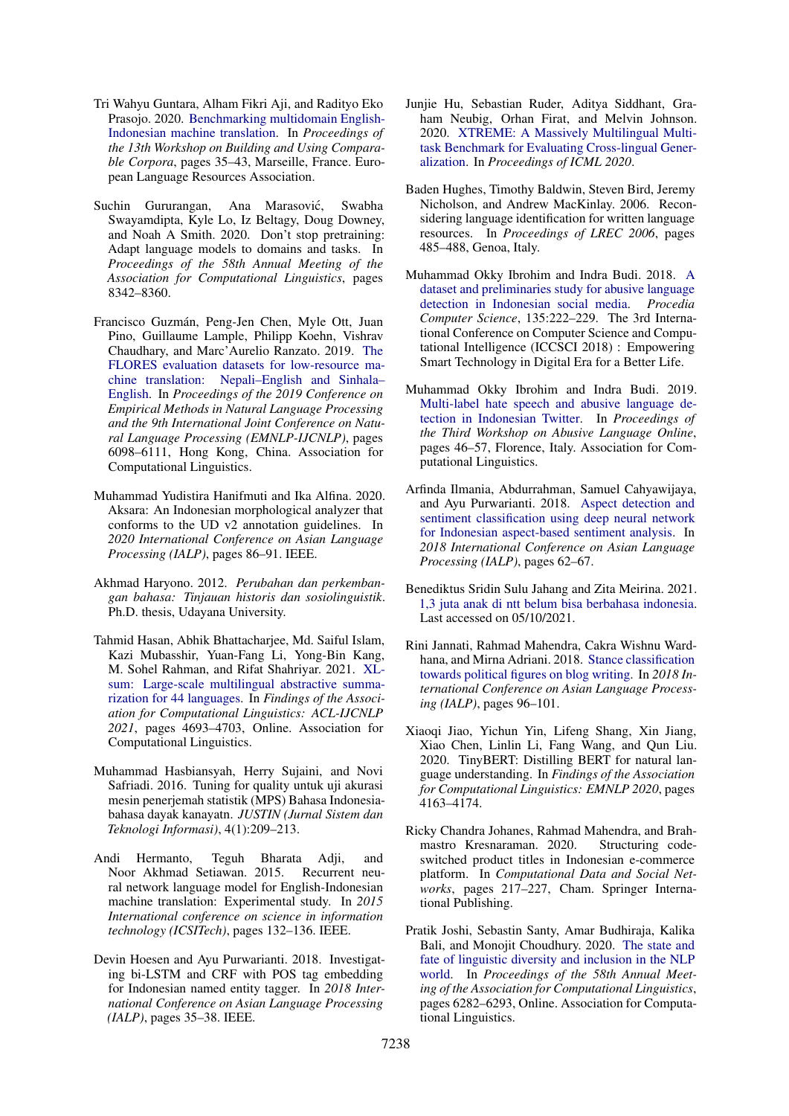- <span id="page-12-5"></span>Tri Wahyu Guntara, Alham Fikri Aji, and Radityo Eko Prasojo. 2020. [Benchmarking multidomain English-](https://aclanthology.org/2020.bucc-1.6)[Indonesian machine translation.](https://aclanthology.org/2020.bucc-1.6) In *Proceedings of the 13th Workshop on Building and Using Comparable Corpora*, pages 35–43, Marseille, France. European Language Resources Association.
- <span id="page-12-11"></span>Suchin Gururangan, Ana Marasović, Swabha Swayamdipta, Kyle Lo, Iz Beltagy, Doug Downey, and Noah A Smith. 2020. Don't stop pretraining: Adapt language models to domains and tasks. In *Proceedings of the 58th Annual Meeting of the Association for Computational Linguistics*, pages 8342–8360.
- <span id="page-12-3"></span>Francisco Guzmán, Peng-Jen Chen, Myle Ott, Juan Pino, Guillaume Lample, Philipp Koehn, Vishrav Chaudhary, and Marc'Aurelio Ranzato. 2019. [The](https://doi.org/10.18653/v1/D19-1632) [FLORES evaluation datasets for low-resource ma](https://doi.org/10.18653/v1/D19-1632)[chine translation: Nepali–English and Sinhala–](https://doi.org/10.18653/v1/D19-1632) [English.](https://doi.org/10.18653/v1/D19-1632) In *Proceedings of the 2019 Conference on Empirical Methods in Natural Language Processing and the 9th International Joint Conference on Natural Language Processing (EMNLP-IJCNLP)*, pages 6098–6111, Hong Kong, China. Association for Computational Linguistics.
- <span id="page-12-18"></span>Muhammad Yudistira Hanifmuti and Ika Alfina. 2020. Aksara: An Indonesian morphological analyzer that conforms to the UD v2 annotation guidelines. In *2020 International Conference on Asian Language Processing (IALP)*, pages 86–91. IEEE.
- <span id="page-12-9"></span>Akhmad Haryono. 2012. *Perubahan dan perkembangan bahasa: Tinjauan historis dan sosiolinguistik*. Ph.D. thesis, Udayana University.
- <span id="page-12-2"></span>Tahmid Hasan, Abhik Bhattacharjee, Md. Saiful Islam, Kazi Mubasshir, Yuan-Fang Li, Yong-Bin Kang, M. Sohel Rahman, and Rifat Shahriyar. 2021. [XL](https://doi.org/10.18653/v1/2021.findings-acl.413)[sum: Large-scale multilingual abstractive summa](https://doi.org/10.18653/v1/2021.findings-acl.413)[rization for 44 languages.](https://doi.org/10.18653/v1/2021.findings-acl.413) In *Findings of the Association for Computational Linguistics: ACL-IJCNLP 2021*, pages 4693–4703, Online. Association for Computational Linguistics.
- <span id="page-12-6"></span>Muhammad Hasbiansyah, Herry Sujaini, and Novi Safriadi. 2016. Tuning for quality untuk uji akurasi mesin penerjemah statistik (MPS) Bahasa Indonesiabahasa dayak kanayatn. *JUSTIN (Jurnal Sistem dan Teknologi Informasi)*, 4(1):209–213.
- <span id="page-12-4"></span>Andi Hermanto, Teguh Bharata Adji, and Noor Akhmad Setiawan. 2015. Recurrent neural network language model for English-Indonesian machine translation: Experimental study. In *2015 International conference on science in information technology (ICSITech)*, pages 132–136. IEEE.
- <span id="page-12-13"></span>Devin Hoesen and Ayu Purwarianti. 2018. Investigating bi-LSTM and CRF with POS tag embedding for Indonesian named entity tagger. In *2018 International Conference on Asian Language Processing (IALP)*, pages 35–38. IEEE.
- <span id="page-12-0"></span>Junjie Hu, Sebastian Ruder, Aditya Siddhant, Graham Neubig, Orhan Firat, and Melvin Johnson. 2020. [XTREME: A Massively Multilingual Multi](http://arxiv.org/abs/arXiv:2003.11080v1)[task Benchmark for Evaluating Cross-lingual Gener](http://arxiv.org/abs/arXiv:2003.11080v1)[alization.](http://arxiv.org/abs/arXiv:2003.11080v1) In *Proceedings of ICML 2020*.
- <span id="page-12-7"></span>Baden Hughes, Timothy Baldwin, Steven Bird, Jeremy Nicholson, and Andrew MacKinlay. 2006. Reconsidering language identification for written language resources. In *Proceedings of LREC 2006*, pages 485–488, Genoa, Italy.
- <span id="page-12-16"></span>Muhammad Okky Ibrohim and Indra Budi. 2018. [A](https://doi.org/https://doi.org/10.1016/j.procs.2018.08.169) [dataset and preliminaries study for abusive language](https://doi.org/https://doi.org/10.1016/j.procs.2018.08.169) [detection in Indonesian social media.](https://doi.org/https://doi.org/10.1016/j.procs.2018.08.169) *Procedia Computer Science*, 135:222–229. The 3rd International Conference on Computer Science and Computational Intelligence (ICCSCI 2018) : Empowering Smart Technology in Digital Era for a Better Life.
- <span id="page-12-17"></span>Muhammad Okky Ibrohim and Indra Budi. 2019. [Multi-label hate speech and abusive language de](https://doi.org/10.18653/v1/W19-3506)[tection in Indonesian Twitter.](https://doi.org/10.18653/v1/W19-3506) In *Proceedings of the Third Workshop on Abusive Language Online*, pages 46–57, Florence, Italy. Association for Computational Linguistics.
- <span id="page-12-14"></span>Arfinda Ilmania, Abdurrahman, Samuel Cahyawijaya, and Ayu Purwarianti. 2018. [Aspect detection and](https://doi.org/10.1109/IALP.2018.8629181) [sentiment classification using deep neural network](https://doi.org/10.1109/IALP.2018.8629181) [for Indonesian aspect-based sentiment analysis.](https://doi.org/10.1109/IALP.2018.8629181) In *2018 International Conference on Asian Language Processing (IALP)*, pages 62–67.
- <span id="page-12-10"></span>Benediktus Sridin Sulu Jahang and Zita Meirina. 2021. [1,3 juta anak di ntt belum bisa berbahasa indonesia.](https://www.antaranews.com/berita/2015409/13-juta-a nak-di-ntt-belum-bisa-berbahasa-indonesia) Last accessed on 05/10/2021.
- <span id="page-12-15"></span>Rini Jannati, Rahmad Mahendra, Cakra Wishnu Wardhana, and Mirna Adriani. 2018. [Stance classification](https://doi.org/10.1109/IALP.2018.8629144) [towards political figures on blog writing.](https://doi.org/10.1109/IALP.2018.8629144) In *2018 International Conference on Asian Language Processing (IALP)*, pages 96–101.
- <span id="page-12-12"></span>Xiaoqi Jiao, Yichun Yin, Lifeng Shang, Xin Jiang, Xiao Chen, Linlin Li, Fang Wang, and Qun Liu. 2020. TinyBERT: Distilling BERT for natural language understanding. In *Findings of the Association for Computational Linguistics: EMNLP 2020*, pages 4163–4174.
- <span id="page-12-8"></span>Ricky Chandra Johanes, Rahmad Mahendra, and Brahmastro Kresnaraman. 2020. Structuring codeswitched product titles in Indonesian e-commerce platform. In *Computational Data and Social Networks*, pages 217–227, Cham. Springer International Publishing.
- <span id="page-12-1"></span>Pratik Joshi, Sebastin Santy, Amar Budhiraja, Kalika Bali, and Monojit Choudhury. 2020. [The state and](https://doi.org/10.18653/v1/2020.acl-main.560) [fate of linguistic diversity and inclusion in the NLP](https://doi.org/10.18653/v1/2020.acl-main.560) [world.](https://doi.org/10.18653/v1/2020.acl-main.560) In *Proceedings of the 58th Annual Meeting of the Association for Computational Linguistics*, pages 6282–6293, Online. Association for Computational Linguistics.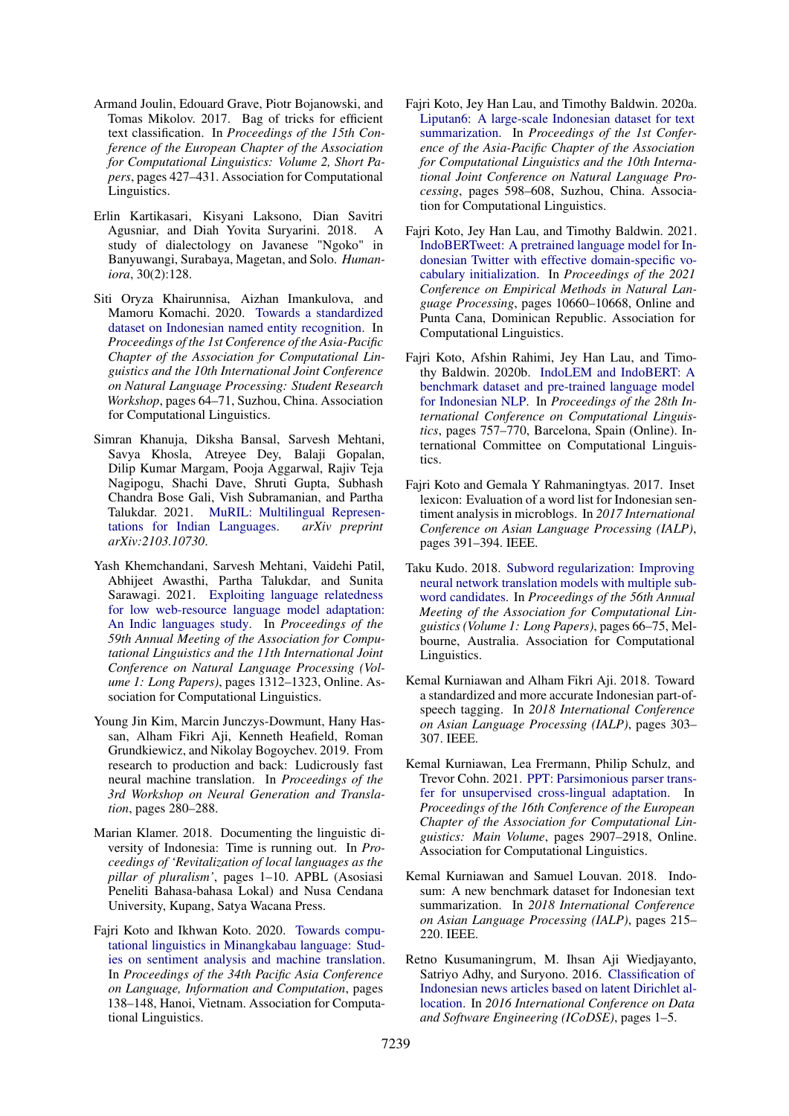- <span id="page-13-9"></span>Armand Joulin, Edouard Grave, Piotr Bojanowski, and Tomas Mikolov. 2017. Bag of tricks for efficient text classification. In *Proceedings of the 15th Conference of the European Chapter of the Association for Computational Linguistics: Volume 2, Short Papers*, pages 427–431. Association for Computational Linguistics.
- <span id="page-13-8"></span>Erlin Kartikasari, Kisyani Laksono, Dian Savitri Agusniar, and Diah Yovita Suryarini. 2018. A study of dialectology on Javanese "Ngoko" in Banyuwangi, Surabaya, Magetan, and Solo. *Humaniora*, 30(2):128.
- <span id="page-13-6"></span>Siti Oryza Khairunnisa, Aizhan Imankulova, and Mamoru Komachi. 2020. [Towards a standardized](https://aclanthology.org/2020.aacl-srw.10) [dataset on Indonesian named entity recognition.](https://aclanthology.org/2020.aacl-srw.10) In *Proceedings of the 1st Conference of the Asia-Pacific Chapter of the Association for Computational Linguistics and the 10th International Joint Conference on Natural Language Processing: Student Research Workshop*, pages 64–71, Suzhou, China. Association for Computational Linguistics.
- <span id="page-13-11"></span>Simran Khanuja, Diksha Bansal, Sarvesh Mehtani, Savya Khosla, Atreyee Dey, Balaji Gopalan, Dilip Kumar Margam, Pooja Aggarwal, Rajiv Teja Nagipogu, Shachi Dave, Shruti Gupta, Subhash Chandra Bose Gali, Vish Subramanian, and Partha Talukdar. 2021. [MuRIL: Multilingual Represen](http://arxiv.org/abs/2103.10730)[tations for Indian Languages.](http://arxiv.org/abs/2103.10730) *arXiv preprint arXiv:2103.10730*.
- <span id="page-13-12"></span>Yash Khemchandani, Sarvesh Mehtani, Vaidehi Patil, Abhijeet Awasthi, Partha Talukdar, and Sunita Sarawagi. 2021. [Exploiting language relatedness](https://doi.org/10.18653/v1/2021.acl-long.105) [for low web-resource language model adaptation:](https://doi.org/10.18653/v1/2021.acl-long.105) [An Indic languages study.](https://doi.org/10.18653/v1/2021.acl-long.105) In *Proceedings of the 59th Annual Meeting of the Association for Computational Linguistics and the 11th International Joint Conference on Natural Language Processing (Volume 1: Long Papers)*, pages 1312–1323, Online. Association for Computational Linguistics.
- <span id="page-13-13"></span>Young Jin Kim, Marcin Junczys-Dowmunt, Hany Hassan, Alham Fikri Aji, Kenneth Heafield, Roman Grundkiewicz, and Nikolay Bogoychev. 2019. From research to production and back: Ludicrously fast neural machine translation. In *Proceedings of the 3rd Workshop on Neural Generation and Translation*, pages 280–288.
- <span id="page-13-0"></span>Marian Klamer. 2018. Documenting the linguistic diversity of Indonesia: Time is running out. In *Proceedings of 'Revitalization of local languages as the pillar of pluralism'*, pages 1–10. APBL (Asosiasi Peneliti Bahasa-bahasa Lokal) and Nusa Cendana University, Kupang, Satya Wacana Press.
- <span id="page-13-7"></span>Fajri Koto and Ikhwan Koto. 2020. [Towards compu](https://aclanthology.org/2020.paclic-1.17)[tational linguistics in Minangkabau language: Stud](https://aclanthology.org/2020.paclic-1.17)[ies on sentiment analysis and machine translation.](https://aclanthology.org/2020.paclic-1.17) In *Proceedings of the 34th Pacific Asia Conference on Language, Information and Computation*, pages 138–148, Hanoi, Vietnam. Association for Computational Linguistics.
- <span id="page-13-5"></span>Fajri Koto, Jey Han Lau, and Timothy Baldwin. 2020a. [Liputan6: A large-scale Indonesian dataset for text](https://aclanthology.org/2020.aacl-main.60) [summarization.](https://aclanthology.org/2020.aacl-main.60) In *Proceedings of the 1st Conference of the Asia-Pacific Chapter of the Association for Computational Linguistics and the 10th International Joint Conference on Natural Language Processing*, pages 598–608, Suzhou, China. Association for Computational Linguistics.
- <span id="page-13-3"></span>Fajri Koto, Jey Han Lau, and Timothy Baldwin. 2021. [IndoBERTweet: A pretrained language model for In](https://doi.org/10.18653/v1/2021.emnlp-main.833)[donesian Twitter with effective domain-specific vo](https://doi.org/10.18653/v1/2021.emnlp-main.833)[cabulary initialization.](https://doi.org/10.18653/v1/2021.emnlp-main.833) In *Proceedings of the 2021 Conference on Empirical Methods in Natural Language Processing*, pages 10660–10668, Online and Punta Cana, Dominican Republic. Association for Computational Linguistics.
- <span id="page-13-2"></span>Fajri Koto, Afshin Rahimi, Jey Han Lau, and Timothy Baldwin. 2020b. [IndoLEM and IndoBERT: A](https://doi.org/10.18653/v1/2020.coling-main.66) [benchmark dataset and pre-trained language model](https://doi.org/10.18653/v1/2020.coling-main.66) [for Indonesian NLP.](https://doi.org/10.18653/v1/2020.coling-main.66) In *Proceedings of the 28th International Conference on Computational Linguistics*, pages 757–770, Barcelona, Spain (Online). International Committee on Computational Linguistics.
- <span id="page-13-16"></span>Fajri Koto and Gemala Y Rahmaningtyas. 2017. Inset lexicon: Evaluation of a word list for Indonesian sentiment analysis in microblogs. In *2017 International Conference on Asian Language Processing (IALP)*, pages 391–394. IEEE.
- <span id="page-13-14"></span>Taku Kudo. 2018. [Subword regularization: Improving](https://doi.org/10.18653/v1/P18-1007) [neural network translation models with multiple sub](https://doi.org/10.18653/v1/P18-1007)[word candidates.](https://doi.org/10.18653/v1/P18-1007) In *Proceedings of the 56th Annual Meeting of the Association for Computational Linguistics (Volume 1: Long Papers)*, pages 66–75, Melbourne, Australia. Association for Computational Linguistics.
- <span id="page-13-4"></span>Kemal Kurniawan and Alham Fikri Aji. 2018. Toward a standardized and more accurate Indonesian part-ofspeech tagging. In *2018 International Conference on Asian Language Processing (IALP)*, pages 303– 307. IEEE.
- <span id="page-13-10"></span>Kemal Kurniawan, Lea Frermann, Philip Schulz, and Trevor Cohn. 2021. [PPT: Parsimonious parser trans](https://aclanthology.org/2021.eacl-main.254)[fer for unsupervised cross-lingual adaptation.](https://aclanthology.org/2021.eacl-main.254) In *Proceedings of the 16th Conference of the European Chapter of the Association for Computational Linguistics: Main Volume*, pages 2907–2918, Online. Association for Computational Linguistics.
- <span id="page-13-15"></span>Kemal Kurniawan and Samuel Louvan. 2018. Indosum: A new benchmark dataset for Indonesian text summarization. In *2018 International Conference on Asian Language Processing (IALP)*, pages 215– 220. IEEE.
- <span id="page-13-1"></span>Retno Kusumaningrum, M. Ihsan Aji Wiedjayanto, Satriyo Adhy, and Suryono. 2016. [Classification of](https://doi.org/10.1109/ICODSE.2016.7936106) [Indonesian news articles based on latent Dirichlet al](https://doi.org/10.1109/ICODSE.2016.7936106)[location.](https://doi.org/10.1109/ICODSE.2016.7936106) In *2016 International Conference on Data and Software Engineering (ICoDSE)*, pages 1–5.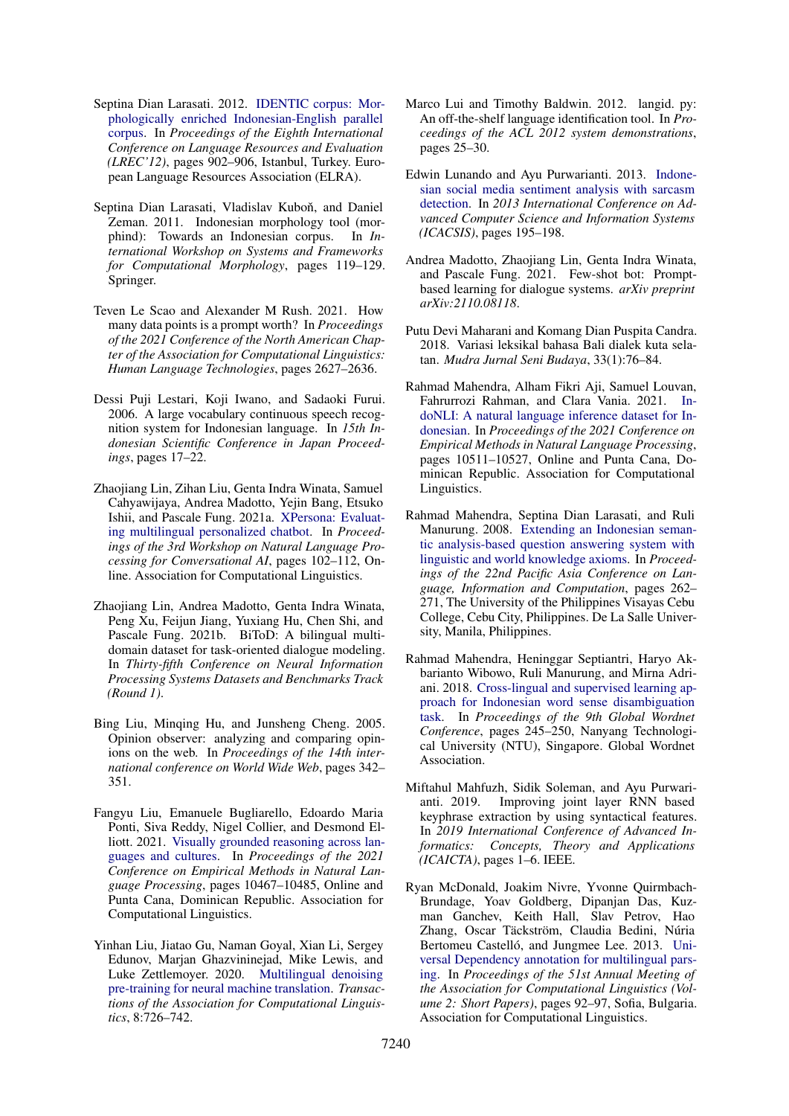- <span id="page-14-12"></span>Septina Dian Larasati. 2012. [IDENTIC corpus: Mor](http://www.lrec-conf.org/proceedings/lrec2012/pdf/644_Paper.pdf)[phologically enriched Indonesian-English parallel](http://www.lrec-conf.org/proceedings/lrec2012/pdf/644_Paper.pdf) [corpus.](http://www.lrec-conf.org/proceedings/lrec2012/pdf/644_Paper.pdf) In *Proceedings of the Eighth International Conference on Language Resources and Evaluation (LREC'12)*, pages 902–906, Istanbul, Turkey. European Language Resources Association (ELRA).
- <span id="page-14-16"></span>Septina Dian Larasati, Vladislav Kuboň, and Daniel Zeman. 2011. Indonesian morphology tool (morphind): Towards an Indonesian corpus. In *International Workshop on Systems and Frameworks for Computational Morphology*, pages 119–129. Springer.
- <span id="page-14-11"></span>Teven Le Scao and Alexander M Rush. 2021. How many data points is a prompt worth? In *Proceedings of the 2021 Conference of the North American Chapter of the Association for Computational Linguistics: Human Language Technologies*, pages 2627–2636.
- <span id="page-14-6"></span>Dessi Puji Lestari, Koji Iwano, and Sadaoki Furui. 2006. A large vocabulary continuous speech recognition system for Indonesian language. In *15th Indonesian Scientific Conference in Japan Proceedings*, pages 17–22.
- <span id="page-14-2"></span>Zhaojiang Lin, Zihan Liu, Genta Indra Winata, Samuel Cahyawijaya, Andrea Madotto, Yejin Bang, Etsuko Ishii, and Pascale Fung. 2021a. [XPersona: Evaluat](https://aclanthology.org/2021.nlp4convai-1.10)[ing multilingual personalized chatbot.](https://aclanthology.org/2021.nlp4convai-1.10) In *Proceedings of the 3rd Workshop on Natural Language Processing for Conversational AI*, pages 102–112, Online. Association for Computational Linguistics.
- <span id="page-14-3"></span>Zhaojiang Lin, Andrea Madotto, Genta Indra Winata, Peng Xu, Feijun Jiang, Yuxiang Hu, Chen Shi, and Pascale Fung. 2021b. BiToD: A bilingual multidomain dataset for task-oriented dialogue modeling. In *Thirty-fifth Conference on Neural Information Processing Systems Datasets and Benchmarks Track (Round 1)*.
- <span id="page-14-17"></span>Bing Liu, Minqing Hu, and Junsheng Cheng. 2005. Opinion observer: analyzing and comparing opinions on the web. In *Proceedings of the 14th international conference on World Wide Web*, pages 342– 351.
- <span id="page-14-1"></span>Fangyu Liu, Emanuele Bugliarello, Edoardo Maria Ponti, Siva Reddy, Nigel Collier, and Desmond Elliott. 2021. [Visually grounded reasoning across lan](https://aclanthology.org/2021.emnlp-main.818)[guages and cultures.](https://aclanthology.org/2021.emnlp-main.818) In *Proceedings of the 2021 Conference on Empirical Methods in Natural Language Processing*, pages 10467–10485, Online and Punta Cana, Dominican Republic. Association for Computational Linguistics.
- <span id="page-14-0"></span>Yinhan Liu, Jiatao Gu, Naman Goyal, Xian Li, Sergey Edunov, Marjan Ghazvininejad, Mike Lewis, and Luke Zettlemoyer. 2020. [Multilingual denoising](https://doi.org/10.1162/tacl_a_00343) [pre-training for neural machine translation.](https://doi.org/10.1162/tacl_a_00343) *Transactions of the Association for Computational Linguistics*, 8:726–742.
- <span id="page-14-9"></span>Marco Lui and Timothy Baldwin. 2012. langid. py: An off-the-shelf language identification tool. In *Proceedings of the ACL 2012 system demonstrations*, pages 25–30.
- <span id="page-14-4"></span>Edwin Lunando and Ayu Purwarianti. 2013. [Indone](https://doi.org/10.1109/ICACSIS.2013.6761575)[sian social media sentiment analysis with sarcasm](https://doi.org/10.1109/ICACSIS.2013.6761575) [detection.](https://doi.org/10.1109/ICACSIS.2013.6761575) In *2013 International Conference on Advanced Computer Science and Information Systems (ICACSIS)*, pages 195–198.
- <span id="page-14-10"></span>Andrea Madotto, Zhaojiang Lin, Genta Indra Winata, and Pascale Fung. 2021. Few-shot bot: Promptbased learning for dialogue systems. *arXiv preprint arXiv:2110.08118*.
- <span id="page-14-8"></span>Putu Devi Maharani and Komang Dian Puspita Candra. 2018. Variasi leksikal bahasa Bali dialek kuta selatan. *Mudra Jurnal Seni Budaya*, 33(1):76–84.
- <span id="page-14-7"></span>Rahmad Mahendra, Alham Fikri Aji, Samuel Louvan, Fahrurrozi Rahman, and Clara Vania. 2021. [In](https://doi.org/10.18653/v1/2021.emnlp-main.821)[doNLI: A natural language inference dataset for In](https://doi.org/10.18653/v1/2021.emnlp-main.821)[donesian.](https://doi.org/10.18653/v1/2021.emnlp-main.821) In *Proceedings of the 2021 Conference on Empirical Methods in Natural Language Processing*, pages 10511–10527, Online and Punta Cana, Dominican Republic. Association for Computational Linguistics.
- <span id="page-14-5"></span>Rahmad Mahendra, Septina Dian Larasati, and Ruli Manurung. 2008. [Extending an Indonesian seman](https://aclanthology.org/Y08-1026)[tic analysis-based question answering system with](https://aclanthology.org/Y08-1026) [linguistic and world knowledge axioms.](https://aclanthology.org/Y08-1026) In *Proceedings of the 22nd Pacific Asia Conference on Language, Information and Computation*, pages 262– 271, The University of the Philippines Visayas Cebu College, Cebu City, Philippines. De La Salle University, Manila, Philippines.
- <span id="page-14-13"></span>Rahmad Mahendra, Heninggar Septiantri, Haryo Akbarianto Wibowo, Ruli Manurung, and Mirna Adriani. 2018. [Cross-lingual and supervised learning ap](https://aclanthology.org/2018.gwc-1.28)[proach for Indonesian word sense disambiguation](https://aclanthology.org/2018.gwc-1.28) [task.](https://aclanthology.org/2018.gwc-1.28) In *Proceedings of the 9th Global Wordnet Conference*, pages 245–250, Nanyang Technological University (NTU), Singapore. Global Wordnet Association.
- <span id="page-14-15"></span>Miftahul Mahfuzh, Sidik Soleman, and Ayu Purwarianti. 2019. Improving joint layer RNN based keyphrase extraction by using syntactical features. In *2019 International Conference of Advanced Informatics: Concepts, Theory and Applications (ICAICTA)*, pages 1–6. IEEE.
- <span id="page-14-14"></span>Ryan McDonald, Joakim Nivre, Yvonne Quirmbach-Brundage, Yoav Goldberg, Dipanjan Das, Kuzman Ganchev, Keith Hall, Slav Petrov, Hao Zhang, Oscar Täckström, Claudia Bedini, Núria Bertomeu Castelló, and Jungmee Lee. 2013. [Uni](https://aclanthology.org/P13-2017)[versal Dependency annotation for multilingual pars](https://aclanthology.org/P13-2017)[ing.](https://aclanthology.org/P13-2017) In *Proceedings of the 51st Annual Meeting of the Association for Computational Linguistics (Volume 2: Short Papers)*, pages 92–97, Sofia, Bulgaria. Association for Computational Linguistics.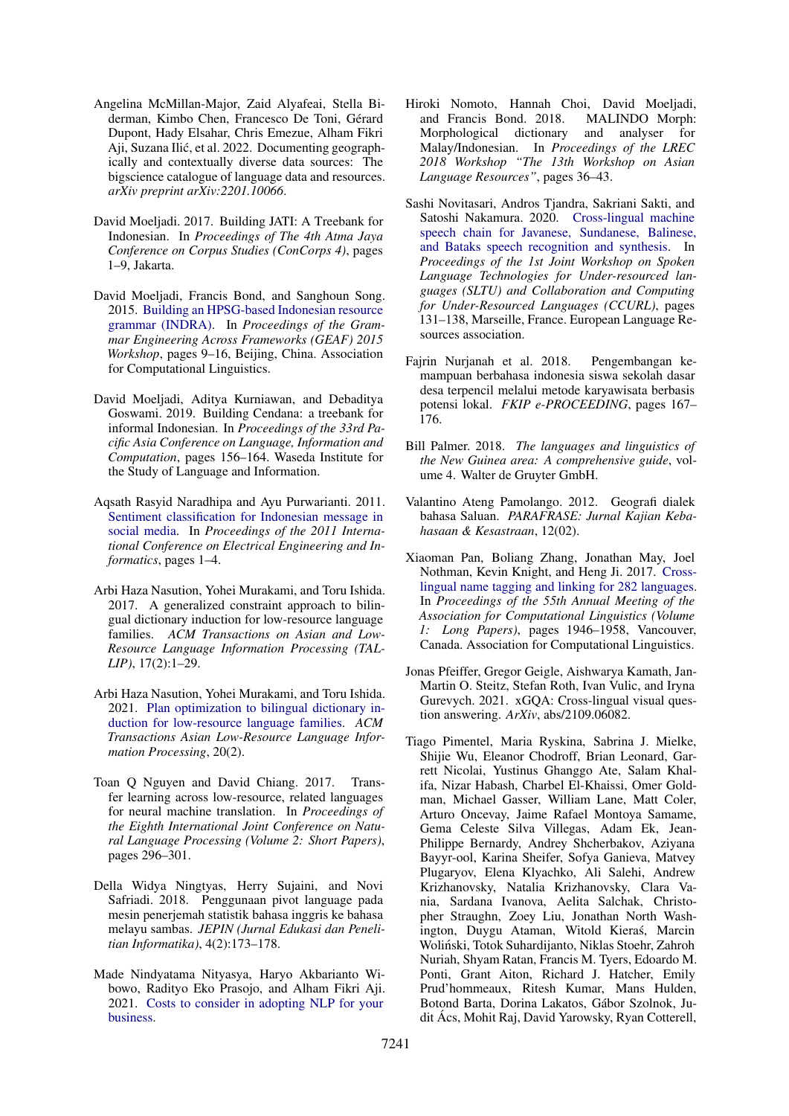- <span id="page-15-9"></span>Angelina McMillan-Major, Zaid Alyafeai, Stella Biderman, Kimbo Chen, Francesco De Toni, Gérard Dupont, Hady Elsahar, Chris Emezue, Alham Fikri Aji, Suzana Ilic, et al. 2022. Documenting geograph- ´ ically and contextually diverse data sources: The bigscience catalogue of language data and resources. *arXiv preprint arXiv:2201.10066*.
- <span id="page-15-14"></span>David Moeljadi. 2017. Building JATI: A Treebank for Indonesian. In *Proceedings of The 4th Atma Jaya Conference on Corpus Studies (ConCorps 4)*, pages 1–9, Jakarta.
- <span id="page-15-16"></span>David Moeljadi, Francis Bond, and Sanghoun Song. 2015. [Building an HPSG-based Indonesian resource](https://doi.org/10.18653/v1/W15-3302) [grammar \(INDRA\).](https://doi.org/10.18653/v1/W15-3302) In *Proceedings of the Grammar Engineering Across Frameworks (GEAF) 2015 Workshop*, pages 9–16, Beijing, China. Association for Computational Linguistics.
- <span id="page-15-15"></span>David Moeljadi, Aditya Kurniawan, and Debaditya Goswami. 2019. Building Cendana: a treebank for informal Indonesian. In *Proceedings of the 33rd Pacific Asia Conference on Language, Information and Computation*, pages 156–164. Waseda Institute for the Study of Language and Information.
- <span id="page-15-4"></span>Aqsath Rasyid Naradhipa and Ayu Purwarianti. 2011. [Sentiment classification for Indonesian message in](https://doi.org/10.1109/ICEEI.2011.6021696) [social media.](https://doi.org/10.1109/ICEEI.2011.6021696) In *Proceedings of the 2011 International Conference on Electrical Engineering and Informatics*, pages 1–4.
- <span id="page-15-6"></span>Arbi Haza Nasution, Yohei Murakami, and Toru Ishida. 2017. A generalized constraint approach to bilingual dictionary induction for low-resource language families. *ACM Transactions on Asian and Low-Resource Language Information Processing (TAL-LIP)*, 17(2):1–29.
- <span id="page-15-7"></span>Arbi Haza Nasution, Yohei Murakami, and Toru Ishida. 2021. [Plan optimization to bilingual dictionary in](https://doi.org/10.1145/3448215)[duction for low-resource language families.](https://doi.org/10.1145/3448215) *ACM Transactions Asian Low-Resource Language Information Processing*, 20(2).
- <span id="page-15-11"></span>Toan Q Nguyen and David Chiang. 2017. Transfer learning across low-resource, related languages for neural machine translation. In *Proceedings of the Eighth International Joint Conference on Natural Language Processing (Volume 2: Short Papers)*, pages 296–301.
- <span id="page-15-5"></span>Della Widya Ningtyas, Herry Sujaini, and Novi Safriadi. 2018. Penggunaan pivot language pada mesin penerjemah statistik bahasa inggris ke bahasa melayu sambas. *JEPIN (Jurnal Edukasi dan Penelitian Informatika)*, 4(2):173–178.
- <span id="page-15-10"></span>Made Nindyatama Nityasya, Haryo Akbarianto Wibowo, Radityo Eko Prasojo, and Alham Fikri Aji. 2021. [Costs to consider in adopting NLP for your](http://arxiv.org/abs/2012.08958) [business.](http://arxiv.org/abs/2012.08958)
- <span id="page-15-17"></span>Hiroki Nomoto, Hannah Choi, David Moeljadi, and Francis Bond. 2018. MALINDO Morph: Morphological dictionary and analyser for Malay/Indonesian. In *Proceedings of the LREC 2018 Workshop "The 13th Workshop on Asian Language Resources"*, pages 36–43.
- <span id="page-15-0"></span>Sashi Novitasari, Andros Tjandra, Sakriani Sakti, and Satoshi Nakamura. 2020. [Cross-lingual machine](https://aclanthology.org/2020.sltu-1.18) [speech chain for Javanese, Sundanese, Balinese,](https://aclanthology.org/2020.sltu-1.18) [and Bataks speech recognition and synthesis.](https://aclanthology.org/2020.sltu-1.18) In *Proceedings of the 1st Joint Workshop on Spoken Language Technologies for Under-resourced languages (SLTU) and Collaboration and Computing for Under-Resourced Languages (CCURL)*, pages 131–138, Marseille, France. European Language Resources association.
- <span id="page-15-8"></span>Fajrin Nurjanah et al. 2018. Pengembangan kemampuan berbahasa indonesia siswa sekolah dasar desa terpencil melalui metode karyawisata berbasis potensi lokal. *FKIP e-PROCEEDING*, pages 167– 176.
- <span id="page-15-1"></span>Bill Palmer. 2018. *The languages and linguistics of the New Guinea area: A comprehensive guide*, volume 4. Walter de Gruyter GmbH.
- <span id="page-15-12"></span>Valantino Ateng Pamolango. 2012. Geografi dialek bahasa Saluan. *PARAFRASE: Jurnal Kajian Kebahasaan & Kesastraan*, 12(02).
- <span id="page-15-3"></span>Xiaoman Pan, Boliang Zhang, Jonathan May, Joel Nothman, Kevin Knight, and Heng Ji. 2017. [Cross](https://doi.org/10.18653/v1/P17-1178)[lingual name tagging and linking for 282 languages.](https://doi.org/10.18653/v1/P17-1178) In *Proceedings of the 55th Annual Meeting of the Association for Computational Linguistics (Volume 1: Long Papers)*, pages 1946–1958, Vancouver, Canada. Association for Computational Linguistics.
- <span id="page-15-2"></span>Jonas Pfeiffer, Gregor Geigle, Aishwarya Kamath, Jan-Martin O. Steitz, Stefan Roth, Ivan Vulic, and Iryna Gurevych. 2021. xGQA: Cross-lingual visual question answering. *ArXiv*, abs/2109.06082.
- <span id="page-15-13"></span>Tiago Pimentel, Maria Ryskina, Sabrina J. Mielke, Shijie Wu, Eleanor Chodroff, Brian Leonard, Garrett Nicolai, Yustinus Ghanggo Ate, Salam Khalifa, Nizar Habash, Charbel El-Khaissi, Omer Goldman, Michael Gasser, William Lane, Matt Coler, Arturo Oncevay, Jaime Rafael Montoya Samame, Gema Celeste Silva Villegas, Adam Ek, Jean-Philippe Bernardy, Andrey Shcherbakov, Aziyana Bayyr-ool, Karina Sheifer, Sofya Ganieva, Matvey Plugaryov, Elena Klyachko, Ali Salehi, Andrew Krizhanovsky, Natalia Krizhanovsky, Clara Vania, Sardana Ivanova, Aelita Salchak, Christopher Straughn, Zoey Liu, Jonathan North Washington, Duygu Ataman, Witold Kieras, Marcin ´ Wolinski, Totok Suhardijanto, Niklas Stoehr, Zahroh ´ Nuriah, Shyam Ratan, Francis M. Tyers, Edoardo M. Ponti, Grant Aiton, Richard J. Hatcher, Emily Prud'hommeaux, Ritesh Kumar, Mans Hulden, Botond Barta, Dorina Lakatos, Gábor Szolnok, Judit Ács, Mohit Raj, David Yarowsky, Ryan Cotterell,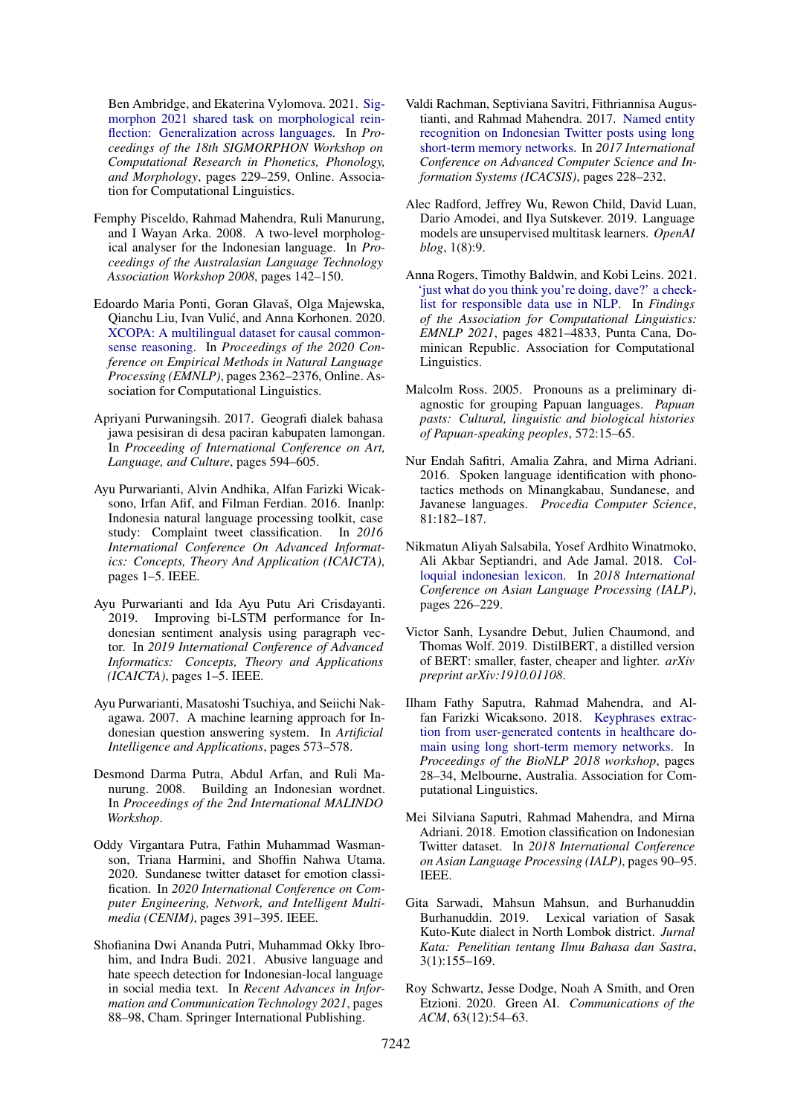Ben Ambridge, and Ekaterina Vylomova. 2021. [Sig](https://doi.org/10.18653/v1/2021.sigmorphon-1.25)[morphon 2021 shared task on morphological rein](https://doi.org/10.18653/v1/2021.sigmorphon-1.25)[flection: Generalization across languages.](https://doi.org/10.18653/v1/2021.sigmorphon-1.25) In *Proceedings of the 18th SIGMORPHON Workshop on Computational Research in Phonetics, Phonology, and Morphology*, pages 229–259, Online. Association for Computational Linguistics.

- <span id="page-16-4"></span>Femphy Pisceldo, Rahmad Mahendra, Ruli Manurung, and I Wayan Arka. 2008. A two-level morphological analyser for the Indonesian language. In *Proceedings of the Australasian Language Technology Association Workshop 2008*, pages 142–150.
- <span id="page-16-1"></span>Edoardo Maria Ponti, Goran Glavaš, Olga Majewska, Qianchu Liu, Ivan Vulic, and Anna Korhonen. 2020. ´ [XCOPA: A multilingual dataset for causal common](https://doi.org/10.18653/v1/2020.emnlp-main.185)[sense reasoning.](https://doi.org/10.18653/v1/2020.emnlp-main.185) In *Proceedings of the 2020 Conference on Empirical Methods in Natural Language Processing (EMNLP)*, pages 2362–2376, Online. Association for Computational Linguistics.
- <span id="page-16-8"></span>Apriyani Purwaningsih. 2017. Geografi dialek bahasa jawa pesisiran di desa paciran kabupaten lamongan. In *Proceeding of International Conference on Art, Language, and Culture*, pages 594–605.
- <span id="page-16-16"></span>Ayu Purwarianti, Alvin Andhika, Alfan Farizki Wicaksono, Irfan Afif, and Filman Ferdian. 2016. Inanlp: Indonesia natural language processing toolkit, case study: Complaint tweet classification. In *2016 International Conference On Advanced Informatics: Concepts, Theory And Application (ICAICTA)*, pages 1–5. IEEE.
- <span id="page-16-14"></span>Ayu Purwarianti and Ida Ayu Putu Ari Crisdayanti. 2019. Improving bi-LSTM performance for Indonesian sentiment analysis using paragraph vector. In *2019 International Conference of Advanced Informatics: Concepts, Theory and Applications (ICAICTA)*, pages 1–5. IEEE.
- <span id="page-16-13"></span>Ayu Purwarianti, Masatoshi Tsuchiya, and Seiichi Nakagawa. 2007. A machine learning approach for Indonesian question answering system. In *Artificial Intelligence and Applications*, pages 573–578.
- <span id="page-16-17"></span>Desmond Darma Putra, Abdul Arfan, and Ruli Manurung. 2008. Building an Indonesian wordnet. In *Proceedings of the 2nd International MALINDO Workshop*.
- <span id="page-16-19"></span>Oddy Virgantara Putra, Fathin Muhammad Wasmanson, Triana Harmini, and Shoffin Nahwa Utama. 2020. Sundanese twitter dataset for emotion classification. In *2020 International Conference on Computer Engineering, Network, and Intelligent Multimedia (CENIM)*, pages 391–395. IEEE.
- <span id="page-16-6"></span>Shofianina Dwi Ananda Putri, Muhammad Okky Ibrohim, and Indra Budi. 2021. Abusive language and hate speech detection for Indonesian-local language in social media text. In *Recent Advances in Information and Communication Technology 2021*, pages 88–98, Cham. Springer International Publishing.
- <span id="page-16-2"></span>Valdi Rachman, Septiviana Savitri, Fithriannisa Augustianti, and Rahmad Mahendra. 2017. [Named entity](https://doi.org/10.1109/ICACSIS.2017.8355038) [recognition on Indonesian Twitter posts using long](https://doi.org/10.1109/ICACSIS.2017.8355038) [short-term memory networks.](https://doi.org/10.1109/ICACSIS.2017.8355038) In *2017 International Conference on Advanced Computer Science and Information Systems (ICACSIS)*, pages 228–232.
- <span id="page-16-7"></span>Alec Radford, Jeffrey Wu, Rewon Child, David Luan, Dario Amodei, and Ilya Sutskever. 2019. Language models are unsupervised multitask learners. *OpenAI blog*, 1(8):9.
- <span id="page-16-10"></span>Anna Rogers, Timothy Baldwin, and Kobi Leins. 2021. ['just what do you think you're doing, dave?' a check](https://doi.org/10.18653/v1/2021.findings-emnlp.414)[list for responsible data use in NLP.](https://doi.org/10.18653/v1/2021.findings-emnlp.414) In *Findings of the Association for Computational Linguistics: EMNLP 2021*, pages 4821–4833, Punta Cana, Dominican Republic. Association for Computational Linguistics.
- <span id="page-16-0"></span>Malcolm Ross. 2005. Pronouns as a preliminary diagnostic for grouping Papuan languages. *Papuan pasts: Cultural, linguistic and biological histories of Papuan-speaking peoples*, 572:15–65.
- <span id="page-16-5"></span>Nur Endah Safitri, Amalia Zahra, and Mirna Adriani. 2016. Spoken language identification with phonotactics methods on Minangkabau, Sundanese, and Javanese languages. *Procedia Computer Science*, 81:182–187.
- <span id="page-16-18"></span>Nikmatun Aliyah Salsabila, Yosef Ardhito Winatmoko, Ali Akbar Septiandri, and Ade Jamal. 2018. [Col](https://doi.org/10.1109/IALP.2018.8629151)[loquial indonesian lexicon.](https://doi.org/10.1109/IALP.2018.8629151) In *2018 International Conference on Asian Language Processing (IALP)*, pages 226–229.
- <span id="page-16-12"></span>Victor Sanh, Lysandre Debut, Julien Chaumond, and Thomas Wolf. 2019. DistilBERT, a distilled version of BERT: smaller, faster, cheaper and lighter. *arXiv preprint arXiv:1910.01108*.
- <span id="page-16-3"></span>Ilham Fathy Saputra, Rahmad Mahendra, and Alfan Farizki Wicaksono. 2018. [Keyphrases extrac](https://doi.org/10.18653/v1/W18-2304)[tion from user-generated contents in healthcare do](https://doi.org/10.18653/v1/W18-2304)[main using long short-term memory networks.](https://doi.org/10.18653/v1/W18-2304) In *Proceedings of the BioNLP 2018 workshop*, pages 28–34, Melbourne, Australia. Association for Computational Linguistics.
- <span id="page-16-15"></span>Mei Silviana Saputri, Rahmad Mahendra, and Mirna Adriani. 2018. Emotion classification on Indonesian Twitter dataset. In *2018 International Conference on Asian Language Processing (IALP)*, pages 90–95. IEEE.
- <span id="page-16-9"></span>Gita Sarwadi, Mahsun Mahsun, and Burhanuddin Burhanuddin. 2019. Lexical variation of Sasak Kuto-Kute dialect in North Lombok district. *Jurnal Kata: Penelitian tentang Ilmu Bahasa dan Sastra*, 3(1):155–169.
- <span id="page-16-11"></span>Roy Schwartz, Jesse Dodge, Noah A Smith, and Oren Etzioni. 2020. Green AI. *Communications of the ACM*, 63(12):54–63.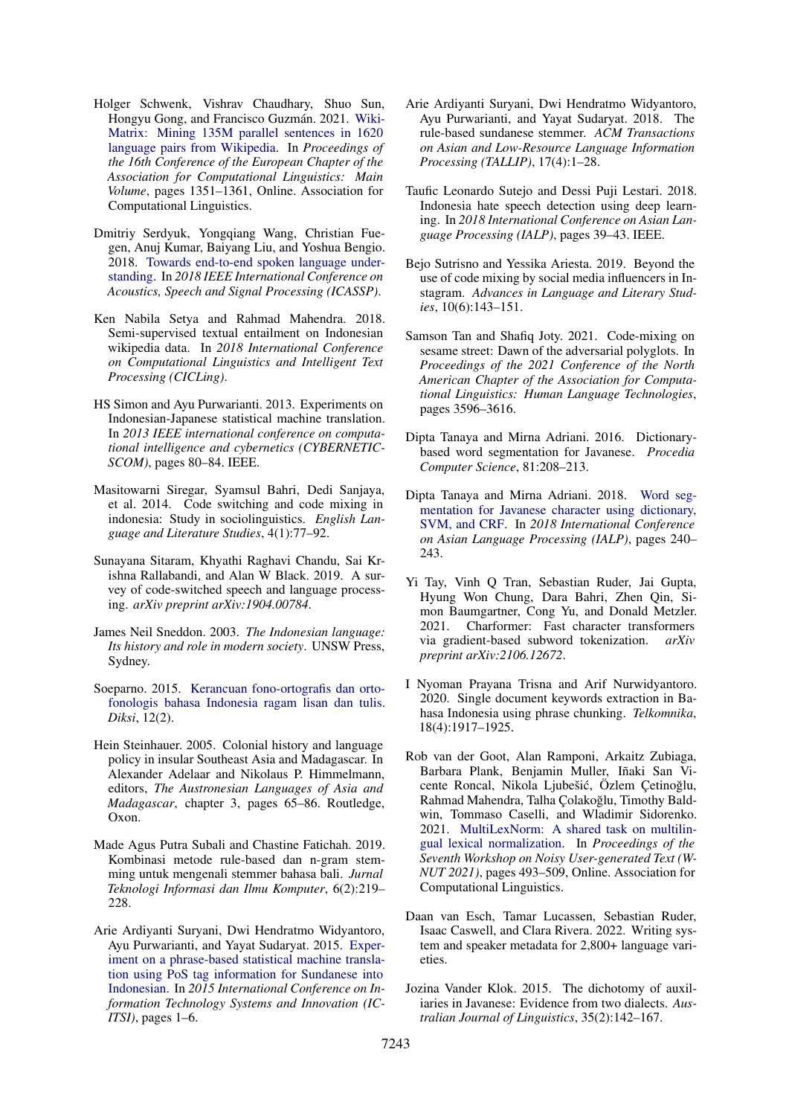- <span id="page-17-5"></span>Holger Schwenk, Vishrav Chaudhary, Shuo Sun, Hongyu Gong, and Francisco Guzmán. 2021. [Wiki-](https://aclanthology.org/2021.eacl-main.115)[Matrix: Mining 135M parallel sentences in 1620](https://aclanthology.org/2021.eacl-main.115) [language pairs from Wikipedia.](https://aclanthology.org/2021.eacl-main.115) In *Proceedings of the 16th Conference of the European Chapter of the Association for Computational Linguistics: Main Volume*, pages 1351–1361, Online. Association for Computational Linguistics.
- <span id="page-17-20"></span>Dmitriy Serdyuk, Yongqiang Wang, Christian Fuegen, Anuj Kumar, Baiyang Liu, and Yoshua Bengio. 2018. [Towards end-to-end spoken language under](https://doi.org/10.1109/icassp.2018.8461785)[standing.](https://doi.org/10.1109/icassp.2018.8461785) In *2018 IEEE International Conference on Acoustics, Speech and Signal Processing (ICASSP)*.
- <span id="page-17-21"></span>Ken Nabila Setya and Rahmad Mahendra. 2018. Semi-supervised textual entailment on Indonesian wikipedia data. In *2018 International Conference on Computational Linguistics and Intelligent Text Processing (CICLing)*.
- <span id="page-17-7"></span>HS Simon and Ayu Purwarianti. 2013. Experiments on Indonesian-Japanese statistical machine translation. In *2013 IEEE international conference on computational intelligence and cybernetics (CYBERNETIC-SCOM)*, pages 80–84. IEEE.
- <span id="page-17-15"></span>Masitowarni Siregar, Syamsul Bahri, Dedi Sanjaya, et al. 2014. Code switching and code mixing in indonesia: Study in sociolinguistics. *English Language and Literature Studies*, 4(1):77–92.
- <span id="page-17-14"></span>Sunayana Sitaram, Khyathi Raghavi Chandu, Sai Krishna Rallabandi, and Alan W Black. 2019. A survey of code-switched speech and language processing. *arXiv preprint arXiv:1904.00784*.
- <span id="page-17-3"></span>James Neil Sneddon. 2003. *The Indonesian language: Its history and role in modern society*. UNSW Press, Sydney.
- <span id="page-17-17"></span>Soeparno. 2015. [Kerancuan fono-ortografis dan orto](https://doi.org/10.21831/diksi.v12i2.5265)[fonologis bahasa Indonesia ragam lisan dan tulis.](https://doi.org/10.21831/diksi.v12i2.5265) *Diksi*, 12(2).
- <span id="page-17-2"></span>Hein Steinhauer. 2005. Colonial history and language policy in insular Southeast Asia and Madagascar. In Alexander Adelaar and Nikolaus P. Himmelmann, editors, *The Austronesian Languages of Asia and Madagascar*, chapter 3, pages 65–86. Routledge, Oxon.
- <span id="page-17-10"></span>Made Agus Putra Subali and Chastine Fatichah. 2019. Kombinasi metode rule-based dan n-gram stemming untuk mengenali stemmer bahasa bali. *Jurnal Teknologi Informasi dan Ilmu Komputer*, 6(2):219– 228.
- <span id="page-17-11"></span>Arie Ardiyanti Suryani, Dwi Hendratmo Widyantoro, Ayu Purwarianti, and Yayat Sudaryat. 2015. [Exper](https://doi.org/10.1109/ICITSI.2015.7437678)[iment on a phrase-based statistical machine transla](https://doi.org/10.1109/ICITSI.2015.7437678)[tion using PoS tag information for Sundanese into](https://doi.org/10.1109/ICITSI.2015.7437678) [Indonesian.](https://doi.org/10.1109/ICITSI.2015.7437678) In *2015 International Conference on Information Technology Systems and Innovation (IC-ITSI)*, pages 1–6.
- <span id="page-17-9"></span>Arie Ardiyanti Suryani, Dwi Hendratmo Widyantoro, Ayu Purwarianti, and Yayat Sudaryat. 2018. The rule-based sundanese stemmer. *ACM Transactions on Asian and Low-Resource Language Information Processing (TALLIP)*, 17(4):1–28.
- <span id="page-17-6"></span>Taufic Leonardo Sutejo and Dessi Puji Lestari. 2018. Indonesia hate speech detection using deep learning. In *2018 International Conference on Asian Language Processing (IALP)*, pages 39–43. IEEE.
- <span id="page-17-16"></span>Bejo Sutrisno and Yessika Ariesta. 2019. Beyond the use of code mixing by social media influencers in Instagram. *Advances in Language and Literary Studies*, 10(6):143–151.
- <span id="page-17-19"></span>Samson Tan and Shafiq Joty. 2021. Code-mixing on sesame street: Dawn of the adversarial polyglots. In *Proceedings of the 2021 Conference of the North American Chapter of the Association for Computational Linguistics: Human Language Technologies*, pages 3596–3616.
- <span id="page-17-12"></span>Dipta Tanaya and Mirna Adriani. 2016. Dictionarybased word segmentation for Javanese. *Procedia Computer Science*, 81:208–213.
- <span id="page-17-13"></span>Dipta Tanaya and Mirna Adriani. 2018. [Word seg](https://doi.org/10.1109/IALP.2018.8629215)[mentation for Javanese character using dictionary,](https://doi.org/10.1109/IALP.2018.8629215) [SVM, and CRF.](https://doi.org/10.1109/IALP.2018.8629215) In *2018 International Conference on Asian Language Processing (IALP)*, pages 240– 243.
- <span id="page-17-18"></span>Yi Tay, Vinh Q Tran, Sebastian Ruder, Jai Gupta, Hyung Won Chung, Dara Bahri, Zhen Qin, Simon Baumgartner, Cong Yu, and Donald Metzler. 2021. Charformer: Fast character transformers via gradient-based subword tokenization. *arXiv preprint arXiv:2106.12672*.
- <span id="page-17-8"></span>I Nyoman Prayana Trisna and Arif Nurwidyantoro. 2020. Single document keywords extraction in Bahasa Indonesia using phrase chunking. *Telkomnika*, 18(4):1917–1925.
- <span id="page-17-4"></span>Rob van der Goot, Alan Ramponi, Arkaitz Zubiaga, Barbara Plank, Benjamin Muller, Iñaki San Vicente Roncal, Nikola Ljubešić, Özlem Çetinoğlu, Rahmad Mahendra, Talha Çolakoğlu, Timothy Baldwin, Tommaso Caselli, and Wladimir Sidorenko. 2021. [MultiLexNorm: A shared task on multilin](https://doi.org/10.18653/v1/2021.wnut-1.55)[gual lexical normalization.](https://doi.org/10.18653/v1/2021.wnut-1.55) In *Proceedings of the Seventh Workshop on Noisy User-generated Text (W-NUT 2021)*, pages 493–509, Online. Association for Computational Linguistics.
- <span id="page-17-0"></span>Daan van Esch, Tamar Lucassen, Sebastian Ruder, Isaac Caswell, and Clara Rivera. 2022. Writing system and speaker metadata for 2,800+ language varieties.
- <span id="page-17-1"></span>Jozina Vander Klok. 2015. The dichotomy of auxiliaries in Javanese: Evidence from two dialects. *Australian Journal of Linguistics*, 35(2):142–167.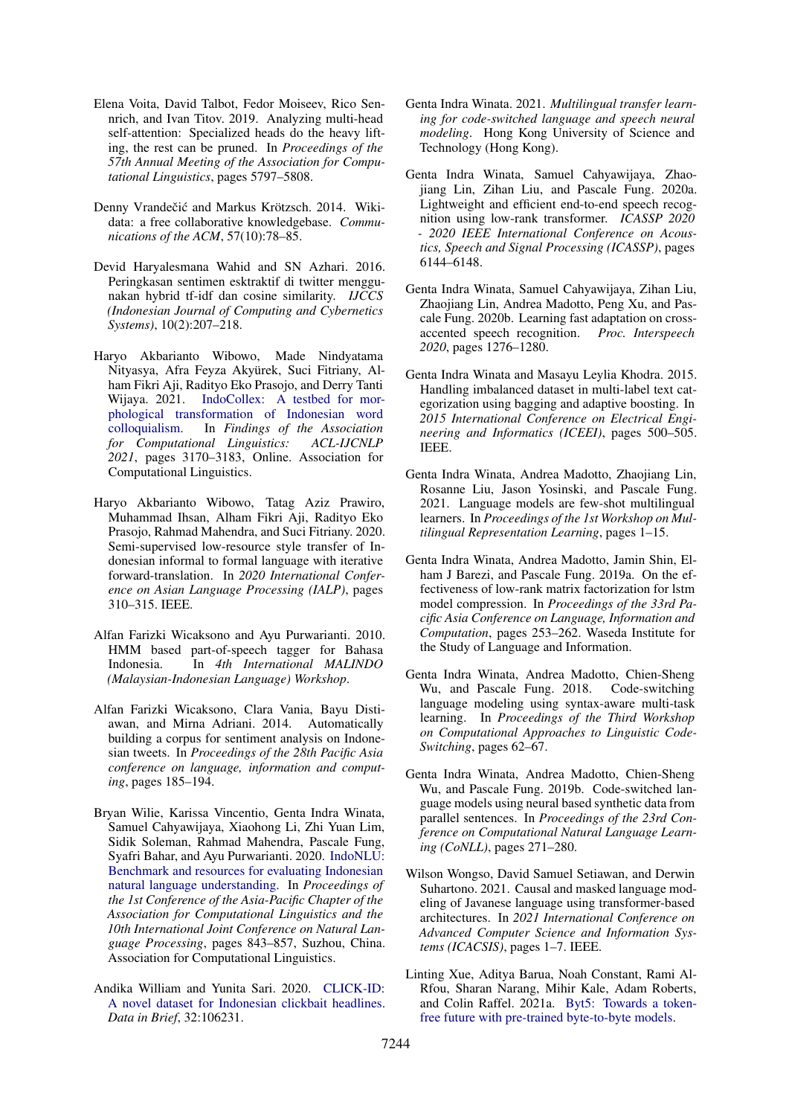- <span id="page-18-11"></span>Elena Voita, David Talbot, Fedor Moiseev, Rico Sennrich, and Ivan Titov. 2019. Analyzing multi-head self-attention: Specialized heads do the heavy lifting, the rest can be pruned. In *Proceedings of the 57th Annual Meeting of the Association for Computational Linguistics*, pages 5797–5808.
- <span id="page-18-5"></span>Denny Vrandečić and Markus Krötzsch. 2014. Wikidata: a free collaborative knowledgebase. *Communications of the ACM*, 57(10):78–85.
- <span id="page-18-17"></span>Devid Haryalesmana Wahid and SN Azhari. 2016. Peringkasan sentimen esktraktif di twitter menggunakan hybrid tf-idf dan cosine similarity. *IJCCS (Indonesian Journal of Computing and Cybernetics Systems)*, 10(2):207–218.
- <span id="page-18-4"></span>Haryo Akbarianto Wibowo, Made Nindyatama Nityasya, Afra Feyza Akyürek, Suci Fitriany, Alham Fikri Aji, Radityo Eko Prasojo, and Derry Tanti Wijaya. 2021. [IndoCollex: A testbed for mor](https://doi.org/10.18653/v1/2021.findings-acl.280)[phological transformation of Indonesian word](https://doi.org/10.18653/v1/2021.findings-acl.280) [colloquialism.](https://doi.org/10.18653/v1/2021.findings-acl.280) In *Findings of the Association for Computational Linguistics: ACL-IJCNLP 2021*, pages 3170–3183, Online. Association for Computational Linguistics.
- <span id="page-18-16"></span>Haryo Akbarianto Wibowo, Tatag Aziz Prawiro, Muhammad Ihsan, Alham Fikri Aji, Radityo Eko Prasojo, Rahmad Mahendra, and Suci Fitriany. 2020. Semi-supervised low-resource style transfer of Indonesian informal to formal language with iterative forward-translation. In *2020 International Conference on Asian Language Processing (IALP)*, pages 310–315. IEEE.
- <span id="page-18-0"></span>Alfan Farizki Wicaksono and Ayu Purwarianti. 2010. HMM based part-of-speech tagger for Bahasa Indonesia. In *4th International MALINDO (Malaysian-Indonesian Language) Workshop*.
- <span id="page-18-1"></span>Alfan Farizki Wicaksono, Clara Vania, Bayu Distiawan, and Mirna Adriani. 2014. Automatically building a corpus for sentiment analysis on Indonesian tweets. In *Proceedings of the 28th Pacific Asia conference on language, information and computing*, pages 185–194.
- <span id="page-18-3"></span>Bryan Wilie, Karissa Vincentio, Genta Indra Winata, Samuel Cahyawijaya, Xiaohong Li, Zhi Yuan Lim, Sidik Soleman, Rahmad Mahendra, Pascale Fung, Syafri Bahar, and Ayu Purwarianti. 2020. [IndoNLU:](https://aclanthology.org/2020.aacl-main.85) [Benchmark and resources for evaluating Indonesian](https://aclanthology.org/2020.aacl-main.85) [natural language understanding.](https://aclanthology.org/2020.aacl-main.85) In *Proceedings of the 1st Conference of the Asia-Pacific Chapter of the Association for Computational Linguistics and the 10th International Joint Conference on Natural Language Processing*, pages 843–857, Suzhou, China. Association for Computational Linguistics.
- <span id="page-18-15"></span>Andika William and Yunita Sari. 2020. [CLICK-ID:](https://doi.org/https://doi.org/10.1016/j.dib.2020.106231) [A novel dataset for Indonesian clickbait headlines.](https://doi.org/https://doi.org/10.1016/j.dib.2020.106231) *Data in Brief*, 32:106231.
- <span id="page-18-8"></span>Genta Indra Winata. 2021. *Multilingual transfer learning for code-switched language and speech neural modeling*. Hong Kong University of Science and Technology (Hong Kong).
- <span id="page-18-13"></span>Genta Indra Winata, Samuel Cahyawijaya, Zhaojiang Lin, Zihan Liu, and Pascale Fung. 2020a. Lightweight and efficient end-to-end speech recognition using low-rank transformer. *ICASSP 2020 - 2020 IEEE International Conference on Acoustics, Speech and Signal Processing (ICASSP)*, pages 6144–6148.
- <span id="page-18-14"></span>Genta Indra Winata, Samuel Cahyawijaya, Zihan Liu, Zhaojiang Lin, Andrea Madotto, Peng Xu, and Pascale Fung. 2020b. Learning fast adaptation on crossaccented speech recognition. *Proc. Interspeech 2020*, pages 1276–1280.
- <span id="page-18-2"></span>Genta Indra Winata and Masayu Leylia Khodra. 2015. Handling imbalanced dataset in multi-label text categorization using bagging and adaptive boosting. In *2015 International Conference on Electrical Engineering and Informatics (ICEEI)*, pages 500–505. IEEE.
- <span id="page-18-9"></span>Genta Indra Winata, Andrea Madotto, Zhaojiang Lin, Rosanne Liu, Jason Yosinski, and Pascale Fung. 2021. Language models are few-shot multilingual learners. In *Proceedings of the 1st Workshop on Multilingual Representation Learning*, pages 1–15.
- <span id="page-18-10"></span>Genta Indra Winata, Andrea Madotto, Jamin Shin, Elham J Barezi, and Pascale Fung. 2019a. On the effectiveness of low-rank matrix factorization for lstm model compression. In *Proceedings of the 33rd Pacific Asia Conference on Language, Information and Computation*, pages 253–262. Waseda Institute for the Study of Language and Information.
- <span id="page-18-6"></span>Genta Indra Winata, Andrea Madotto, Chien-Sheng Wu, and Pascale Fung. 2018. Code-switching language modeling using syntax-aware multi-task learning. In *Proceedings of the Third Workshop on Computational Approaches to Linguistic Code-Switching*, pages 62–67.
- <span id="page-18-7"></span>Genta Indra Winata, Andrea Madotto, Chien-Sheng Wu, and Pascale Fung. 2019b. Code-switched language models using neural based synthetic data from parallel sentences. In *Proceedings of the 23rd Conference on Computational Natural Language Learning (CoNLL)*, pages 271–280.
- <span id="page-18-18"></span>Wilson Wongso, David Samuel Setiawan, and Derwin Suhartono. 2021. Causal and masked language modeling of Javanese language using transformer-based architectures. In *2021 International Conference on Advanced Computer Science and Information Systems (ICACSIS)*, pages 1–7. IEEE.
- <span id="page-18-12"></span>Linting Xue, Aditya Barua, Noah Constant, Rami Al-Rfou, Sharan Narang, Mihir Kale, Adam Roberts, and Colin Raffel. 2021a. [Byt5: Towards a token](http://arxiv.org/abs/2105.13626)[free future with pre-trained byte-to-byte models.](http://arxiv.org/abs/2105.13626)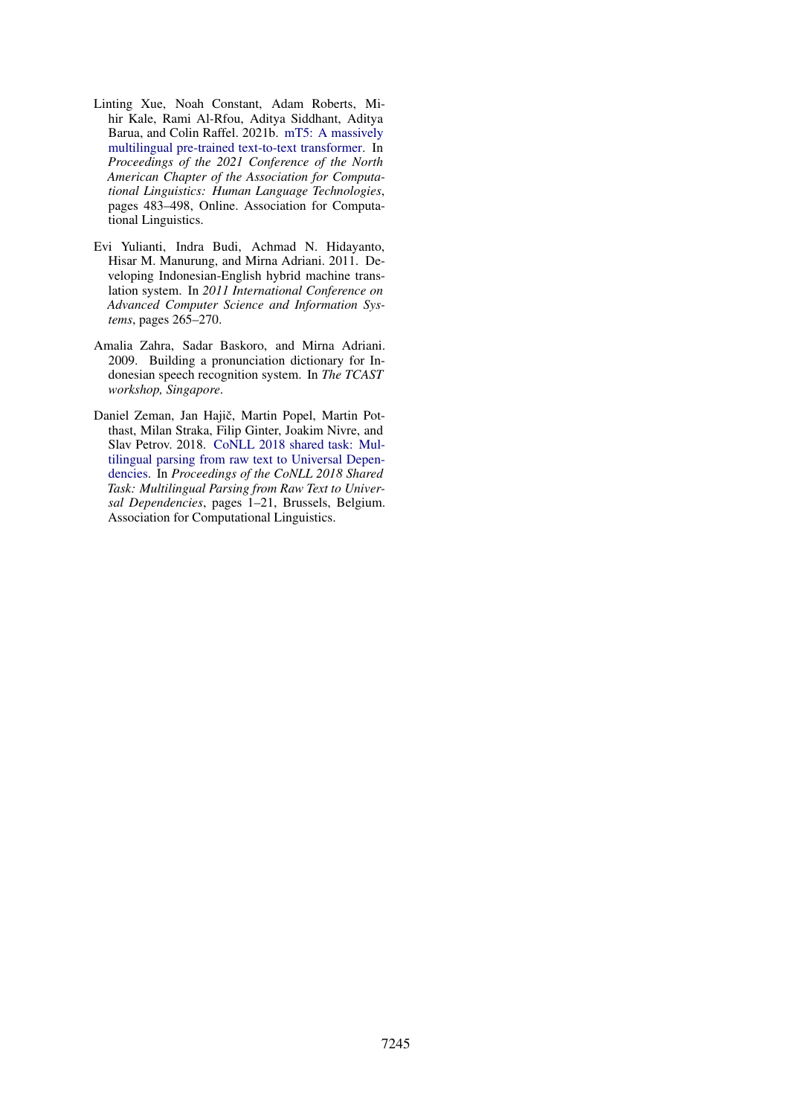- <span id="page-19-0"></span>Linting Xue, Noah Constant, Adam Roberts, Mihir Kale, Rami Al-Rfou, Aditya Siddhant, Aditya Barua, and Colin Raffel. 2021b. [mT5: A massively](https://doi.org/10.18653/v1/2021.naacl-main.41) [multilingual pre-trained text-to-text transformer.](https://doi.org/10.18653/v1/2021.naacl-main.41) In *Proceedings of the 2021 Conference of the North American Chapter of the Association for Computational Linguistics: Human Language Technologies*, pages 483–498, Online. Association for Computational Linguistics.
- <span id="page-19-1"></span>Evi Yulianti, Indra Budi, Achmad N. Hidayanto, Hisar M. Manurung, and Mirna Adriani. 2011. Developing Indonesian-English hybrid machine translation system. In *2011 International Conference on Advanced Computer Science and Information Systems*, pages 265–270.
- <span id="page-19-2"></span>Amalia Zahra, Sadar Baskoro, and Mirna Adriani. 2009. Building a pronunciation dictionary for Indonesian speech recognition system. In *The TCAST workshop, Singapore*.
- <span id="page-19-3"></span>Daniel Zeman, Jan Hajič, Martin Popel, Martin Potthast, Milan Straka, Filip Ginter, Joakim Nivre, and Slav Petrov. 2018. [CoNLL 2018 shared task: Mul](https://doi.org/10.18653/v1/K18-2001)[tilingual parsing from raw text to Universal Depen](https://doi.org/10.18653/v1/K18-2001)[dencies.](https://doi.org/10.18653/v1/K18-2001) In *Proceedings of the CoNLL 2018 Shared Task: Multilingual Parsing from Raw Text to Universal Dependencies*, pages 1–21, Brussels, Belgium. Association for Computational Linguistics.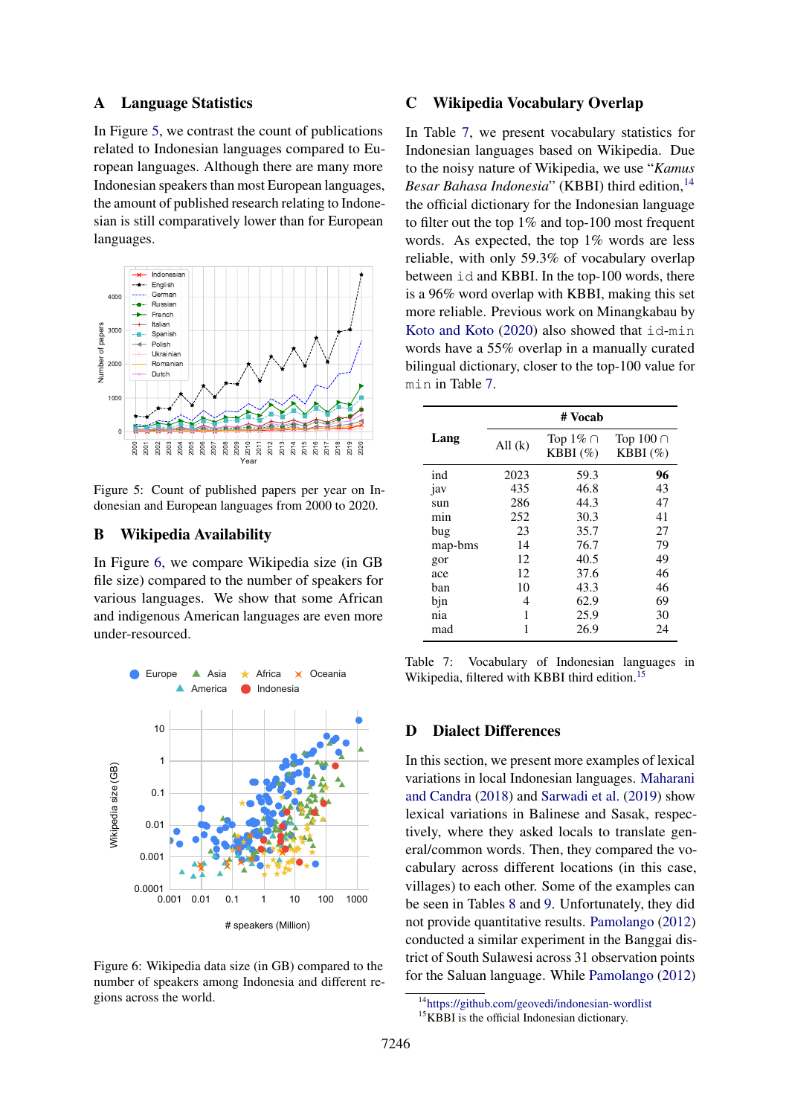### A Language Statistics

In Figure [5,](#page-20-3) we contrast the count of publications related to Indonesian languages compared to European languages. Although there are many more Indonesian speakers than most European languages, the amount of published research relating to Indonesian is still comparatively lower than for European languages.

<span id="page-20-3"></span>

Figure 5: Count of published papers per year on Indonesian and European languages from 2000 to 2020.

### <span id="page-20-0"></span>B Wikipedia Availability

In Figure [6,](#page-20-4) we compare Wikipedia size (in GB file size) compared to the number of speakers for various languages. We show that some African and indigenous American languages are even more under-resourced.

<span id="page-20-4"></span>

Figure 6: Wikipedia data size (in GB) compared to the number of speakers among Indonesia and different regions across the world.

# C Wikipedia Vocabulary Overlap

In Table [7,](#page-20-2) we present vocabulary statistics for Indonesian languages based on Wikipedia. Due to the noisy nature of Wikipedia, we use "*Kamus Besar Bahasa Indonesia*" (KBBI) third edition,<sup>[14](#page-20-5)</sup> the official dictionary for the Indonesian language to filter out the top 1% and top-100 most frequent words. As expected, the top 1% words are less reliable, with only 59.3% of vocabulary overlap between id and KBBI. In the top-100 words, there is a 96% word overlap with KBBI, making this set more reliable. Previous work on Minangkabau by [Koto and Koto](#page-13-7) [\(2020\)](#page-13-7) also showed that id-min words have a 55% overlap in a manually curated bilingual dictionary, closer to the top-100 value for min in Table [7.](#page-20-2)

<span id="page-20-2"></span>

| # Vocab   |                              |                               |  |  |  |
|-----------|------------------------------|-------------------------------|--|--|--|
| All $(k)$ | Top $1\% \cap$<br>$KBBI(\%)$ | Top $100 \cap$<br>KBBI $(\%)$ |  |  |  |
| 2023      | 59.3                         | 96                            |  |  |  |
| 435       | 46.8                         | 43                            |  |  |  |
| 286       | 44.3                         | 47                            |  |  |  |
| 252       | 30.3                         | 41                            |  |  |  |
| 23        | 35.7                         | 27                            |  |  |  |
| 14        | 76.7                         | 79                            |  |  |  |
| 12        | 40.5                         | 49                            |  |  |  |
| 12        | 37.6                         | 46                            |  |  |  |
| 10        | 43.3                         | 46                            |  |  |  |
| 4         | 62.9                         | 69                            |  |  |  |
| 1         | 25.9                         | 30                            |  |  |  |
| 1         | 26.9                         | 24                            |  |  |  |
|           |                              |                               |  |  |  |

Table 7: Vocabulary of Indonesian languages in Wikipedia, filtered with KBBI third edition.<sup>[15](#page-20-6)</sup>

# <span id="page-20-1"></span>D Dialect Differences

In this section, we present more examples of lexical variations in local Indonesian languages. [Maharani](#page-14-8) [and Candra](#page-14-8) [\(2018\)](#page-14-8) and [Sarwadi et al.](#page-16-9) [\(2019\)](#page-16-9) show lexical variations in Balinese and Sasak, respectively, where they asked locals to translate general/common words. Then, they compared the vocabulary across different locations (in this case, villages) to each other. Some of the examples can be seen in Tables [8](#page-21-1) and [9.](#page-21-1) Unfortunately, they did not provide quantitative results. [Pamolango](#page-15-12) [\(2012\)](#page-15-12) conducted a similar experiment in the Banggai district of South Sulawesi across 31 observation points for the Saluan language. While [Pamolango](#page-15-12) [\(2012\)](#page-15-12)

<span id="page-20-5"></span><sup>14</sup><https://github.com/geovedi/indonesian-wordlist>

<span id="page-20-6"></span><sup>&</sup>lt;sup>15</sup>KBBI is the official Indonesian dictionary.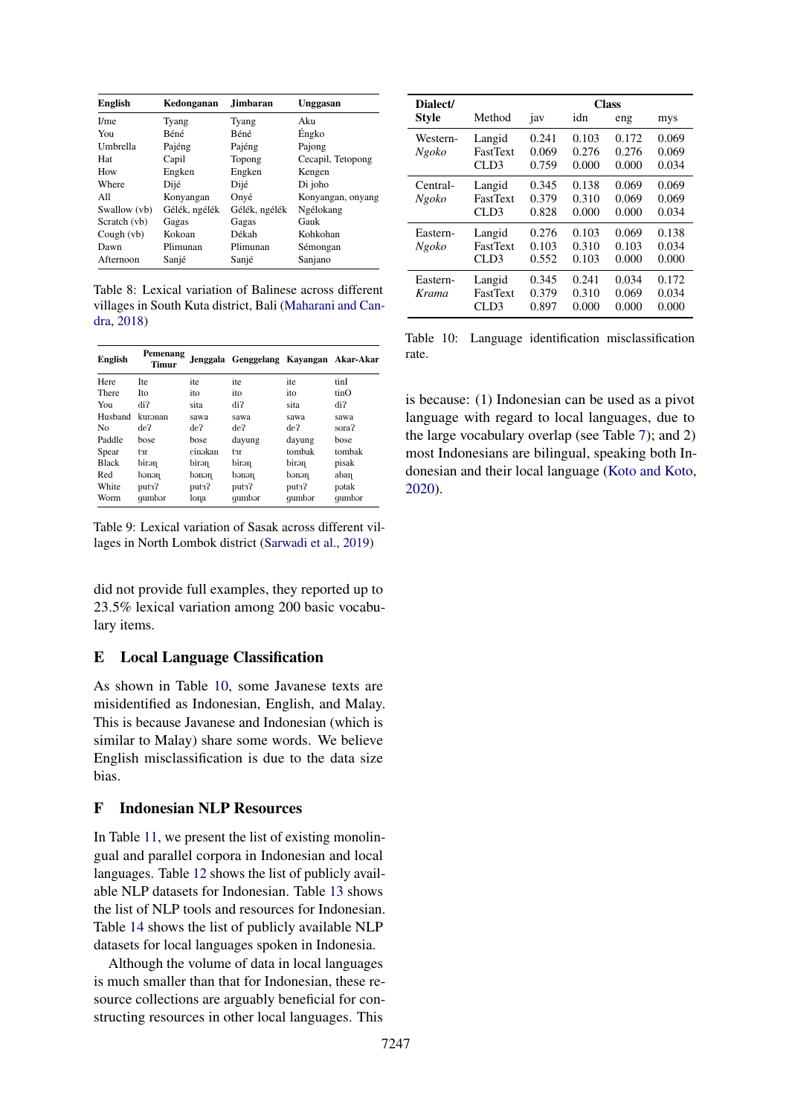<span id="page-21-1"></span>

| <b>English</b>   | Kedonganan    | <b>Jimbaran</b> | Unggasan          |
|------------------|---------------|-----------------|-------------------|
| I/m <sub>e</sub> | Tyang         | Tyang           | Aku               |
| You              | Béné          | Béné            | Éngko             |
| Umbrella         | Pajéng        | Pajéng          | Pajong            |
| Hat              | Capil         | Topong          | Cecapil, Tetopong |
| How              | Engken        | Engken          | Kengen            |
| Where            | Dijé          | Dijé            | Di joho           |
| All              | Konyangan     | Onyé            | Konyangan, onyang |
| Swallow (vb)     | Gélék, ngélék | Gélék, ngélék   | Ngélokang         |
| Scratch (vb)     | Gagas         | Gagas           | Gauk              |
| Cough (vb)       | Kokoan        | Dékah           | Kohkohan          |
| Dawn             | Plimunan      | Plimunan        | Sémongan          |
| Afternoon        | Sanjé         | Sanjé           | Sanjano           |

Table 8: Lexical variation of Balinese across different villages in South Kuta district, Bali [\(Maharani and Can](#page-14-8)[dra,](#page-14-8) [2018\)](#page-14-8)

| English        | Pemenang<br>Timur |         | Jenggala Genggelang Kayangan Akar-Akar |        |        |
|----------------|-------------------|---------|----------------------------------------|--------|--------|
| Here           | <b>Ite</b>        | ite     | ite                                    | ite    | tinI   |
| There          | <b>Ito</b>        | ito     | ito                                    | ito    | tinO   |
| You            | di?               | sita    | di?                                    | sita   | di?    |
| Husband        | kuranan           | sawa    | sawa                                   | sawa   | sawa   |
| N <sub>0</sub> | de?               | de?     | de?                                    | de?    | sora?  |
| Paddle         | bose              | bose    | dayung                                 | dayung | bose   |
| Spear          | tзr               | cinəkan | tзr                                    | tombak | tombak |
| <b>Black</b>   | nerid             | birən   | nerid                                  | hirən  | pisak  |
| Red            | nened             | nened   | nened                                  | nened  | aban   |
| White          | put3?             | put3?   | put3?                                  | put3?  | pətak  |
| Worm           | qumbor            | lona    | qumbor                                 | qumbor | qumbor |

Table 9: Lexical variation of Sasak across different villages in North Lombok district [\(Sarwadi et al.,](#page-16-9) [2019\)](#page-16-9)

did not provide full examples, they reported up to 23.5% lexical variation among 200 basic vocabulary items.

#### E Local Language Classification

As shown in Table [10,](#page-21-2) some Javanese texts are misidentified as Indonesian, English, and Malay. This is because Javanese and Indonesian (which is similar to Malay) share some words. We believe English misclassification is due to the data size bias.

# <span id="page-21-0"></span>F Indonesian NLP Resources

In Table [11,](#page-22-0) we present the list of existing monolingual and parallel corpora in Indonesian and local languages. Table [12](#page-22-1) shows the list of publicly available NLP datasets for Indonesian. Table [13](#page-23-0) shows the list of NLP tools and resources for Indonesian. Table [14](#page-23-1) shows the list of publicly available NLP datasets for local languages spoken in Indonesia.

Although the volume of data in local languages is much smaller than that for Indonesian, these resource collections are arguably beneficial for constructing resources in other local languages. This

<span id="page-21-2"></span>

| Dialect/          |                                   | <b>Class</b>            |                         |                         |                         |  |  |
|-------------------|-----------------------------------|-------------------------|-------------------------|-------------------------|-------------------------|--|--|
| <b>Style</b>      | Method                            | jav                     | idn                     | eng                     | mys                     |  |  |
| Western-<br>Ngoko | Langid<br><b>FastText</b><br>CLD3 | 0.241<br>0.069<br>0.759 | 0.103<br>0.276<br>0.000 | 0.172<br>0.276<br>0.000 | 0.069<br>0.069<br>0.034 |  |  |
| Central-<br>Ngoko | Langid<br><b>FastText</b><br>CLD3 | 0.345<br>0.379<br>0.828 | 0.138<br>0.310<br>0.000 | 0.069<br>0.069<br>0.000 | 0.069<br>0.069<br>0.034 |  |  |
| Eastern-<br>Ngoko | Langid<br><b>FastText</b><br>CLD3 | 0.276<br>0.103<br>0.552 | 0.103<br>0.310<br>0.103 | 0.069<br>0.103<br>0.000 | 0.138<br>0.034<br>0.000 |  |  |
| Eastern-<br>Krama | Langid<br><b>FastText</b><br>CLD3 | 0.345<br>0.379<br>0.897 | 0.241<br>0.310<br>0.000 | 0.034<br>0.069<br>0.000 | 0.172<br>0.034<br>0.000 |  |  |

Table 10: Language identification misclassification rate.

is because: (1) Indonesian can be used as a pivot language with regard to local languages, due to the large vocabulary overlap (see Table [7\)](#page-20-2); and 2) most Indonesians are bilingual, speaking both Indonesian and their local language [\(Koto and Koto,](#page-13-7) [2020\)](#page-13-7).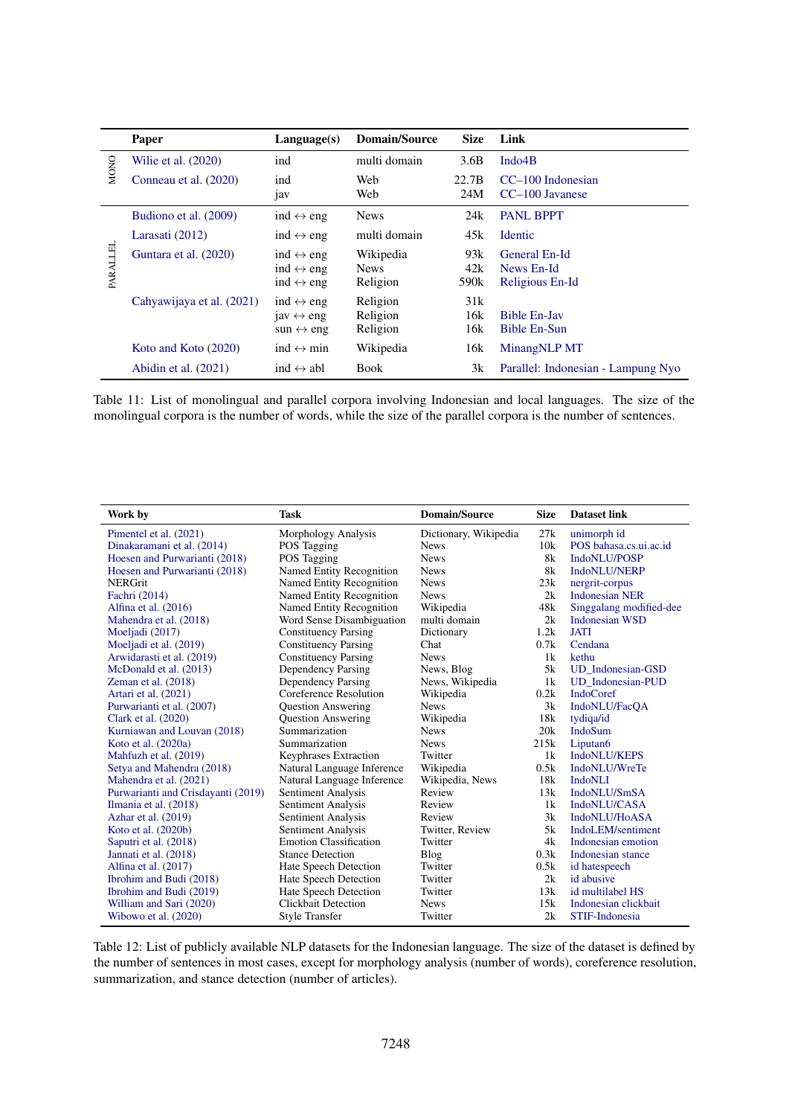<span id="page-22-0"></span>

|             | Paper                     | Language(s)                                                                         | <b>Domain/Source</b>                 | <b>Size</b>                    | Link                                           |
|-------------|---------------------------|-------------------------------------------------------------------------------------|--------------------------------------|--------------------------------|------------------------------------------------|
| <b>MONO</b> | Wilie et al. $(2020)$     | ind                                                                                 | multi domain                         | 3.6B                           | Indo <sub>4</sub> B                            |
|             | Conneau et al. (2020)     | ind<br>jav                                                                          | Web<br>Web                           | 22.7B<br>24M                   | $CC-100$ Indonesian<br>CC-100 Javanese         |
|             | Budiono et al. (2009)     | ind $\leftrightarrow$ eng                                                           | <b>News</b>                          | 24k                            | <b>PANL BPPT</b>                               |
|             | Larasati (2012)           | ind $\leftrightarrow$ eng                                                           | multi domain                         | 45k                            | <b>Identic</b>                                 |
| PARALLEI    | Guntara et al. (2020)     | ind $\leftrightarrow$ eng<br>ind $\leftrightarrow$ eng<br>ind $\leftrightarrow$ eng | Wikipedia<br><b>News</b><br>Religion | 93k<br>42k<br>590 <sub>k</sub> | General En-Id<br>News En-Id<br>Religious En-Id |
|             | Cahyawijaya et al. (2021) | ind $\leftrightarrow$ eng<br>jav $\leftrightarrow$ eng<br>sun $\leftrightarrow$ eng | Religion<br>Religion<br>Religion     | 31k<br>16k<br>16k              | <b>Bible En-Jav</b><br><b>Bible En-Sun</b>     |
|             | Koto and Koto (2020)      | ind $\leftrightarrow$ min                                                           | Wikipedia                            | 16k                            | MinangNLP MT                                   |
|             | Abidin et al. $(2021)$    | $ind \leftrightarrow abl$                                                           | Book                                 | 3k                             | Parallel: Indonesian - Lampung Nyo             |

Table 11: List of monolingual and parallel corpora involving Indonesian and local languages. The size of the monolingual corpora is the number of words, while the size of the parallel corpora is the number of sentences.

<span id="page-22-1"></span>

| Work by                            | Task                          | <b>Domain/Source</b>  | <b>Size</b> | <b>Dataset link</b>      |
|------------------------------------|-------------------------------|-----------------------|-------------|--------------------------|
| Pimentel et al. (2021)             | Morphology Analysis           | Dictionary, Wikipedia | 27k         | unimorph id              |
| Dinakaramani et al. (2014)         | POS Tagging                   | <b>News</b>           | 10k         | POS bahasa.cs.ui.ac.id   |
| Hoesen and Purwarianti (2018)      | <b>POS</b> Tagging            | <b>News</b>           | 8k          | IndoNLU/POSP             |
| Hoesen and Purwarianti (2018)      | Named Entity Recognition      | <b>News</b>           | 8k          | <b>IndoNLU/NERP</b>      |
| <b>NERGrit</b>                     | Named Entity Recognition      | <b>News</b>           | 23k         | nergrit-corpus           |
| Fachri (2014)                      | Named Entity Recognition      | <b>News</b>           | 2k          | <b>Indonesian NER</b>    |
| Alfina et al. $(2016)$             | Named Entity Recognition      | Wikipedia             | 48k         | Singgalang modified-dee  |
| Mahendra et al. (2018)             | Word Sense Disambiguation     | multi domain          | 2k          | <b>Indonesian WSD</b>    |
| Moeljadi (2017)                    | <b>Constituency Parsing</b>   | Dictionary            | 1.2k        | <b>JATI</b>              |
| Moeljadi et al. (2019)             | <b>Constituency Parsing</b>   | Chat                  | 0.7k        | Cendana                  |
| Arwidarasti et al. (2019)          | <b>Constituency Parsing</b>   | <b>News</b>           | 1k          | kethu                    |
| McDonald et al. (2013)             | <b>Dependency Parsing</b>     | News, Blog            | 5k          | <b>UD</b> Indonesian-GSD |
| Zeman et al. $(2018)$              | Dependency Parsing            | News, Wikipedia       | 1k          | <b>UD</b> Indonesian-PUD |
| Artari et al. (2021)               | Coreference Resolution        | Wikipedia             | 0.2k        | <b>IndoCoref</b>         |
| Purwarianti et al. (2007)          | <b>Question Answering</b>     | <b>News</b>           | 3k          | IndoNLU/FacOA            |
| Clark et al. (2020)                | <b>Ouestion Answering</b>     | Wikipedia             | 18k         | tydiga/id                |
| Kurniawan and Louvan (2018)        | Summarization                 | <b>News</b>           | 20k         | <b>IndoSum</b>           |
| Koto et al. $(2020a)$              | Summarization                 | <b>News</b>           | 215k        | Liputan6                 |
| Mahfuzh et al. (2019)              | Keyphrases Extraction         | Twitter               | 1k          | <b>IndoNLU/KEPS</b>      |
| Setya and Mahendra (2018)          | Natural Language Inference    | Wikipedia             | 0.5k        | IndoNLU/WreTe            |
| Mahendra et al. (2021)             | Natural Language Inference    | Wikipedia, News       | 18k         | <b>IndoNLI</b>           |
| Purwarianti and Crisdayanti (2019) | Sentiment Analysis            | Review                | 13k         | IndoNLU/SmSA             |
| Ilmania et al. (2018)              | Sentiment Analysis            | Review                | 1k          | IndoNLU/CASA             |
| Azhar et al. (2019)                | Sentiment Analysis            | Review                | 3k          | IndoNLU/HoASA            |
| Koto et al. $(2020b)$              | Sentiment Analysis            | Twitter, Review       | 5k          | IndoLEM/sentiment        |
| Saputri et al. (2018)              | <b>Emotion Classification</b> | Twitter               | 4k          | Indonesian emotion       |
| Januari et al. (2018)              | <b>Stance Detection</b>       | Blog                  | 0.3k        | Indonesian stance        |
| Alfina et al. (2017)               | Hate Speech Detection         | Twitter               | 0.5k        | id hatespeech            |
| Ibrohim and Budi (2018)            | Hate Speech Detection         | Twitter               | 2k          | id abusive               |
| Ibrohim and Budi (2019)            | Hate Speech Detection         | Twitter               | 13k         | id multilabel HS         |
| William and Sari (2020)            | Clickbait Detection           | <b>News</b>           | 15k         | Indonesian clickbait     |
| Wibowo et al. (2020)               | <b>Style Transfer</b>         | Twitter               | 2k          | STIF-Indonesia           |

Table 12: List of publicly available NLP datasets for the Indonesian language. The size of the dataset is defined by the number of sentences in most cases, except for morphology analysis (number of words), coreference resolution, summarization, and stance detection (number of articles).